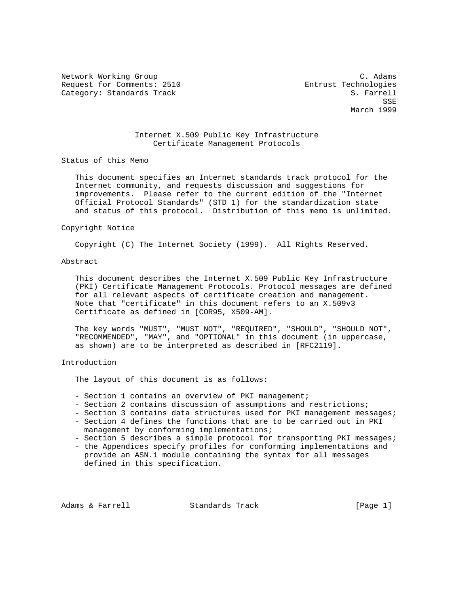Network Working Group and the contract of the contract of the contract of the contract of the contract of the contract of the contract of the contract of the contract of the contract of the contract of the contract of the Request for Comments: 2510 **Entrust Technologies** Category: Standards Track S. Farrell

SSE SALES AND SERVICE SERVICE SERVICE SERVICE SERVICE SERVICE SERVICE SERVICE SERVICE SERVICE SERVICE SERVICE March 1999

# Internet X.509 Public Key Infrastructure Certificate Management Protocols

Status of this Memo

 This document specifies an Internet standards track protocol for the Internet community, and requests discussion and suggestions for improvements. Please refer to the current edition of the "Internet Official Protocol Standards" (STD 1) for the standardization state and status of this protocol. Distribution of this memo is unlimited.

#### Copyright Notice

Copyright (C) The Internet Society (1999). All Rights Reserved.

## Abstract

 This document describes the Internet X.509 Public Key Infrastructure (PKI) Certificate Management Protocols. Protocol messages are defined for all relevant aspects of certificate creation and management. Note that "certificate" in this document refers to an X.509v3 Certificate as defined in [COR95, X509-AM].

 The key words "MUST", "MUST NOT", "REQUIRED", "SHOULD", "SHOULD NOT", "RECOMMENDED", "MAY", and "OPTIONAL" in this document (in uppercase, as shown) are to be interpreted as described in [RFC2119].

# Introduction

The layout of this document is as follows:

- Section 1 contains an overview of PKI management;
- Section 2 contains discussion of assumptions and restrictions;
- Section 3 contains data structures used for PKI management messages;
- Section 4 defines the functions that are to be carried out in PKI management by conforming implementations;
- Section 5 describes a simple protocol for transporting PKI messages;
- the Appendices specify profiles for conforming implementations and provide an ASN.1 module containing the syntax for all messages defined in this specification.

Adams & Farrell **Standards Track** [Page 1]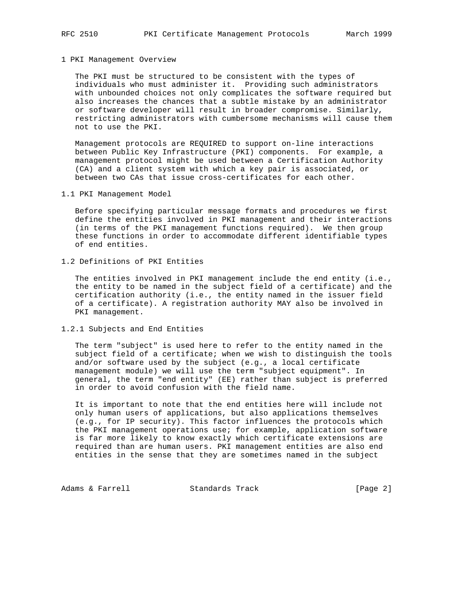#### 1 PKI Management Overview

 The PKI must be structured to be consistent with the types of individuals who must administer it. Providing such administrators with unbounded choices not only complicates the software required but also increases the chances that a subtle mistake by an administrator or software developer will result in broader compromise. Similarly, restricting administrators with cumbersome mechanisms will cause them not to use the PKI.

 Management protocols are REQUIRED to support on-line interactions between Public Key Infrastructure (PKI) components. For example, a management protocol might be used between a Certification Authority (CA) and a client system with which a key pair is associated, or between two CAs that issue cross-certificates for each other.

1.1 PKI Management Model

 Before specifying particular message formats and procedures we first define the entities involved in PKI management and their interactions (in terms of the PKI management functions required). We then group these functions in order to accommodate different identifiable types of end entities.

# 1.2 Definitions of PKI Entities

 The entities involved in PKI management include the end entity (i.e., the entity to be named in the subject field of a certificate) and the certification authority (i.e., the entity named in the issuer field of a certificate). A registration authority MAY also be involved in PKI management.

#### 1.2.1 Subjects and End Entities

 The term "subject" is used here to refer to the entity named in the subject field of a certificate; when we wish to distinguish the tools and/or software used by the subject (e.g., a local certificate management module) we will use the term "subject equipment". In general, the term "end entity" (EE) rather than subject is preferred in order to avoid confusion with the field name.

 It is important to note that the end entities here will include not only human users of applications, but also applications themselves (e.g., for IP security). This factor influences the protocols which the PKI management operations use; for example, application software is far more likely to know exactly which certificate extensions are required than are human users. PKI management entities are also end entities in the sense that they are sometimes named in the subject

Adams & Farrell **Standards Track** [Page 2]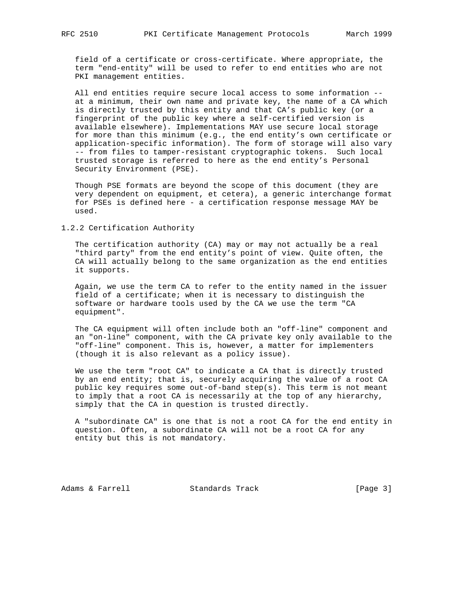field of a certificate or cross-certificate. Where appropriate, the term "end-entity" will be used to refer to end entities who are not PKI management entities.

 All end entities require secure local access to some information - at a minimum, their own name and private key, the name of a CA which is directly trusted by this entity and that CA's public key (or a fingerprint of the public key where a self-certified version is available elsewhere). Implementations MAY use secure local storage for more than this minimum (e.g., the end entity's own certificate or application-specific information). The form of storage will also vary -- from files to tamper-resistant cryptographic tokens. Such local trusted storage is referred to here as the end entity's Personal Security Environment (PSE).

 Though PSE formats are beyond the scope of this document (they are very dependent on equipment, et cetera), a generic interchange format for PSEs is defined here - a certification response message MAY be used.

## 1.2.2 Certification Authority

 The certification authority (CA) may or may not actually be a real "third party" from the end entity's point of view. Quite often, the CA will actually belong to the same organization as the end entities it supports.

 Again, we use the term CA to refer to the entity named in the issuer field of a certificate; when it is necessary to distinguish the software or hardware tools used by the CA we use the term "CA equipment".

 The CA equipment will often include both an "off-line" component and an "on-line" component, with the CA private key only available to the "off-line" component. This is, however, a matter for implementers (though it is also relevant as a policy issue).

 We use the term "root CA" to indicate a CA that is directly trusted by an end entity; that is, securely acquiring the value of a root CA public key requires some out-of-band step(s). This term is not meant to imply that a root CA is necessarily at the top of any hierarchy, simply that the CA in question is trusted directly.

 A "subordinate CA" is one that is not a root CA for the end entity in question. Often, a subordinate CA will not be a root CA for any entity but this is not mandatory.

Adams & Farrell **Standards Track** [Page 3]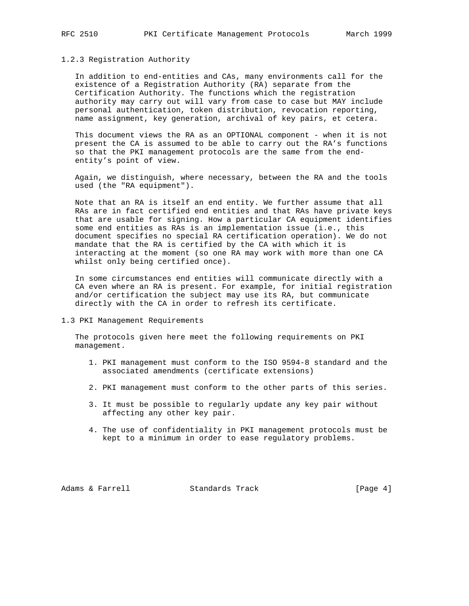### 1.2.3 Registration Authority

 In addition to end-entities and CAs, many environments call for the existence of a Registration Authority (RA) separate from the Certification Authority. The functions which the registration authority may carry out will vary from case to case but MAY include personal authentication, token distribution, revocation reporting, name assignment, key generation, archival of key pairs, et cetera.

 This document views the RA as an OPTIONAL component - when it is not present the CA is assumed to be able to carry out the RA's functions so that the PKI management protocols are the same from the end entity's point of view.

 Again, we distinguish, where necessary, between the RA and the tools used (the "RA equipment").

 Note that an RA is itself an end entity. We further assume that all RAs are in fact certified end entities and that RAs have private keys that are usable for signing. How a particular CA equipment identifies some end entities as RAs is an implementation issue (i.e., this document specifies no special RA certification operation). We do not mandate that the RA is certified by the CA with which it is interacting at the moment (so one RA may work with more than one CA whilst only being certified once).

 In some circumstances end entities will communicate directly with a CA even where an RA is present. For example, for initial registration and/or certification the subject may use its RA, but communicate directly with the CA in order to refresh its certificate.

1.3 PKI Management Requirements

 The protocols given here meet the following requirements on PKI management.

- 1. PKI management must conform to the ISO 9594-8 standard and the associated amendments (certificate extensions)
- 2. PKI management must conform to the other parts of this series.
- 3. It must be possible to regularly update any key pair without affecting any other key pair.
- 4. The use of confidentiality in PKI management protocols must be kept to a minimum in order to ease regulatory problems.

Adams & Farrell **Standards Track** [Page 4]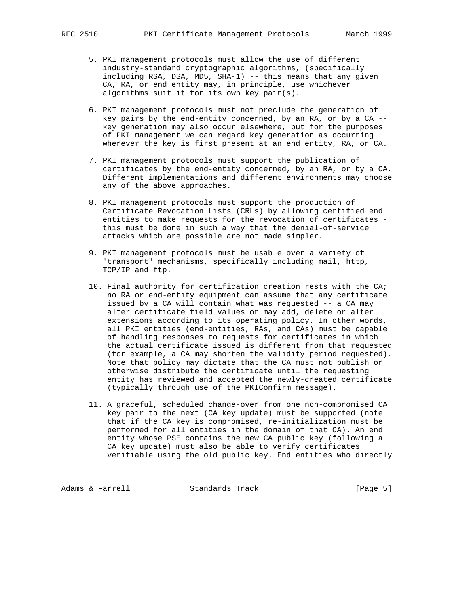- 5. PKI management protocols must allow the use of different industry-standard cryptographic algorithms, (specifically including RSA, DSA, MD5, SHA-1) -- this means that any given CA, RA, or end entity may, in principle, use whichever algorithms suit it for its own key pair(s).
- 6. PKI management protocols must not preclude the generation of key pairs by the end-entity concerned, by an RA, or by a CA - key generation may also occur elsewhere, but for the purposes of PKI management we can regard key generation as occurring wherever the key is first present at an end entity, RA, or CA.
- 7. PKI management protocols must support the publication of certificates by the end-entity concerned, by an RA, or by a CA. Different implementations and different environments may choose any of the above approaches.
- 8. PKI management protocols must support the production of Certificate Revocation Lists (CRLs) by allowing certified end entities to make requests for the revocation of certificates this must be done in such a way that the denial-of-service attacks which are possible are not made simpler.
- 9. PKI management protocols must be usable over a variety of "transport" mechanisms, specifically including mail, http, TCP/IP and ftp.
- 10. Final authority for certification creation rests with the CA; no RA or end-entity equipment can assume that any certificate issued by a CA will contain what was requested -- a CA may alter certificate field values or may add, delete or alter extensions according to its operating policy. In other words, all PKI entities (end-entities, RAs, and CAs) must be capable of handling responses to requests for certificates in which the actual certificate issued is different from that requested (for example, a CA may shorten the validity period requested). Note that policy may dictate that the CA must not publish or otherwise distribute the certificate until the requesting entity has reviewed and accepted the newly-created certificate (typically through use of the PKIConfirm message).
- 11. A graceful, scheduled change-over from one non-compromised CA key pair to the next (CA key update) must be supported (note that if the CA key is compromised, re-initialization must be performed for all entities in the domain of that CA). An end entity whose PSE contains the new CA public key (following a CA key update) must also be able to verify certificates verifiable using the old public key. End entities who directly

Adams & Farrell **Standards Track** [Page 5]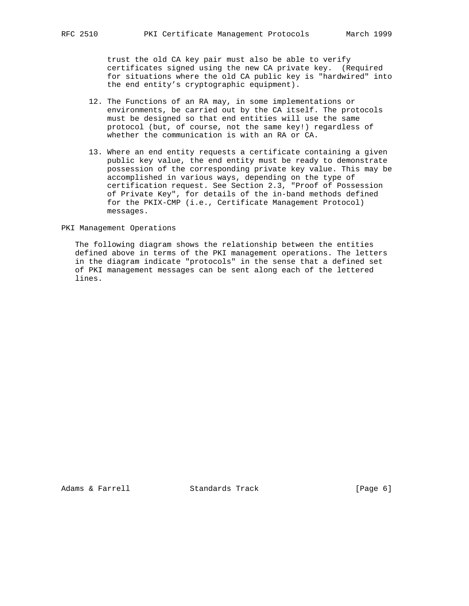trust the old CA key pair must also be able to verify certificates signed using the new CA private key. (Required for situations where the old CA public key is "hardwired" into the end entity's cryptographic equipment).

- 12. The Functions of an RA may, in some implementations or environments, be carried out by the CA itself. The protocols must be designed so that end entities will use the same protocol (but, of course, not the same key!) regardless of whether the communication is with an RA or CA.
- 13. Where an end entity requests a certificate containing a given public key value, the end entity must be ready to demonstrate possession of the corresponding private key value. This may be accomplished in various ways, depending on the type of certification request. See Section 2.3, "Proof of Possession of Private Key", for details of the in-band methods defined for the PKIX-CMP (i.e., Certificate Management Protocol) messages.

#### PKI Management Operations

 The following diagram shows the relationship between the entities defined above in terms of the PKI management operations. The letters in the diagram indicate "protocols" in the sense that a defined set of PKI management messages can be sent along each of the lettered lines.

Adams & Farrell **Standards Track** [Page 6]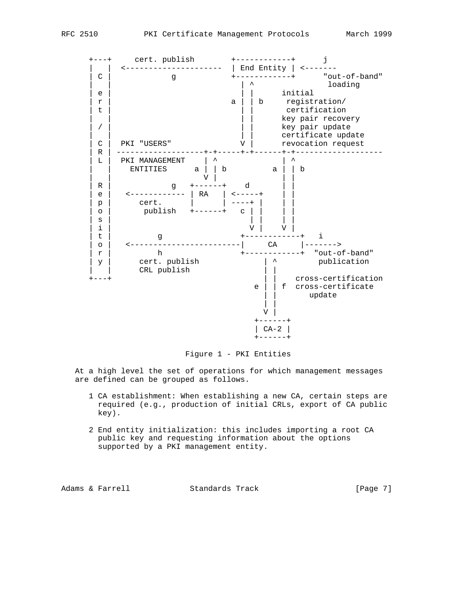

Figure 1 - PKI Entities

 At a high level the set of operations for which management messages are defined can be grouped as follows.

- 1 CA establishment: When establishing a new CA, certain steps are required (e.g., production of initial CRLs, export of CA public key).
- 2 End entity initialization: this includes importing a root CA public key and requesting information about the options supported by a PKI management entity.

Adams & Farrell **Standards Track** [Page 7]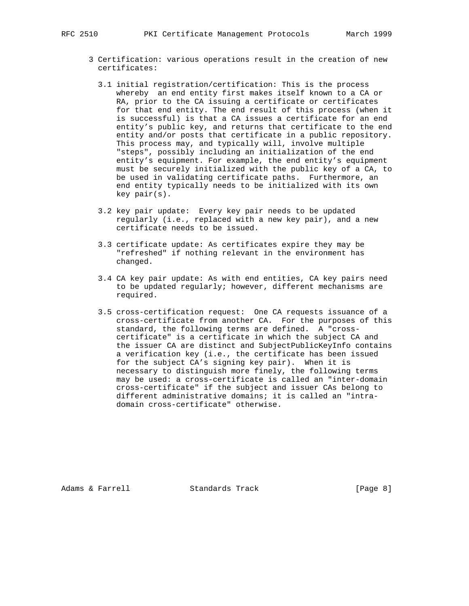- 3 Certification: various operations result in the creation of new certificates:
	- 3.1 initial registration/certification: This is the process whereby an end entity first makes itself known to a CA or RA, prior to the CA issuing a certificate or certificates for that end entity. The end result of this process (when it is successful) is that a CA issues a certificate for an end entity's public key, and returns that certificate to the end entity and/or posts that certificate in a public repository. This process may, and typically will, involve multiple "steps", possibly including an initialization of the end entity's equipment. For example, the end entity's equipment must be securely initialized with the public key of a CA, to be used in validating certificate paths. Furthermore, an end entity typically needs to be initialized with its own key pair(s).
	- 3.2 key pair update: Every key pair needs to be updated regularly (i.e., replaced with a new key pair), and a new certificate needs to be issued.
	- 3.3 certificate update: As certificates expire they may be "refreshed" if nothing relevant in the environment has changed.
	- 3.4 CA key pair update: As with end entities, CA key pairs need to be updated regularly; however, different mechanisms are required.
	- 3.5 cross-certification request: One CA requests issuance of a cross-certificate from another CA. For the purposes of this standard, the following terms are defined. A "cross certificate" is a certificate in which the subject CA and the issuer CA are distinct and SubjectPublicKeyInfo contains a verification key (i.e., the certificate has been issued for the subject CA's signing key pair). When it is necessary to distinguish more finely, the following terms may be used: a cross-certificate is called an "inter-domain cross-certificate" if the subject and issuer CAs belong to different administrative domains; it is called an "intra domain cross-certificate" otherwise.

Adams & Farrell **Standards Track** [Page 8]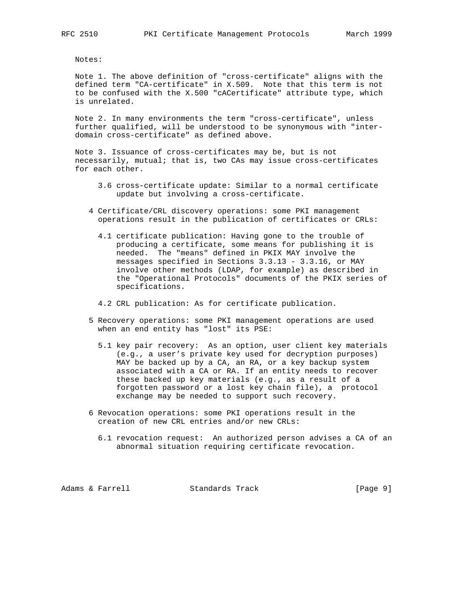Notes:

 Note 1. The above definition of "cross-certificate" aligns with the defined term "CA-certificate" in X.509. Note that this term is not to be confused with the X.500 "cACertificate" attribute type, which is unrelated.

 Note 2. In many environments the term "cross-certificate", unless further qualified, will be understood to be synonymous with "inter domain cross-certificate" as defined above.

 Note 3. Issuance of cross-certificates may be, but is not necessarily, mutual; that is, two CAs may issue cross-certificates for each other.

- 3.6 cross-certificate update: Similar to a normal certificate update but involving a cross-certificate.
- 4 Certificate/CRL discovery operations: some PKI management operations result in the publication of certificates or CRLs:
	- 4.1 certificate publication: Having gone to the trouble of producing a certificate, some means for publishing it is needed. The "means" defined in PKIX MAY involve the messages specified in Sections 3.3.13 - 3.3.16, or MAY involve other methods (LDAP, for example) as described in the "Operational Protocols" documents of the PKIX series of specifications.
	- 4.2 CRL publication: As for certificate publication.
- 5 Recovery operations: some PKI management operations are used when an end entity has "lost" its PSE:
	- 5.1 key pair recovery: As an option, user client key materials (e.g., a user's private key used for decryption purposes) MAY be backed up by a CA, an RA, or a key backup system associated with a CA or RA. If an entity needs to recover these backed up key materials (e.g., as a result of a forgotten password or a lost key chain file), a protocol exchange may be needed to support such recovery.
- 6 Revocation operations: some PKI operations result in the creation of new CRL entries and/or new CRLs:
	- 6.1 revocation request: An authorized person advises a CA of an abnormal situation requiring certificate revocation.

Adams & Farrell **Standards Track** [Page 9]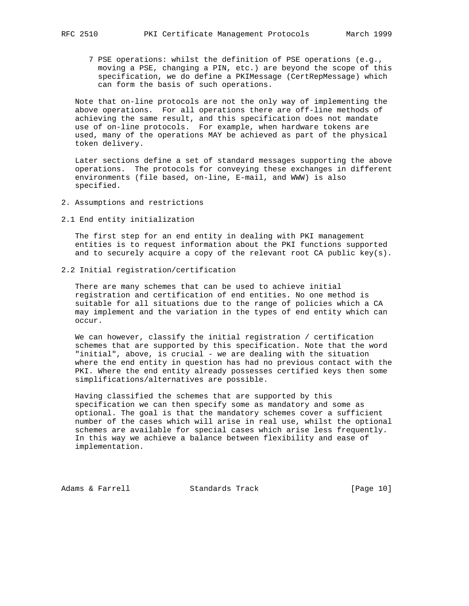7 PSE operations: whilst the definition of PSE operations (e.g., moving a PSE, changing a PIN, etc.) are beyond the scope of this specification, we do define a PKIMessage (CertRepMessage) which can form the basis of such operations.

 Note that on-line protocols are not the only way of implementing the above operations. For all operations there are off-line methods of achieving the same result, and this specification does not mandate use of on-line protocols. For example, when hardware tokens are used, many of the operations MAY be achieved as part of the physical token delivery.

 Later sections define a set of standard messages supporting the above operations. The protocols for conveying these exchanges in different environments (file based, on-line, E-mail, and WWW) is also specified.

- 2. Assumptions and restrictions
- 2.1 End entity initialization

 The first step for an end entity in dealing with PKI management entities is to request information about the PKI functions supported and to securely acquire a copy of the relevant root CA public key(s).

2.2 Initial registration/certification

 There are many schemes that can be used to achieve initial registration and certification of end entities. No one method is suitable for all situations due to the range of policies which a CA may implement and the variation in the types of end entity which can occur.

 We can however, classify the initial registration / certification schemes that are supported by this specification. Note that the word "initial", above, is crucial - we are dealing with the situation where the end entity in question has had no previous contact with the PKI. Where the end entity already possesses certified keys then some simplifications/alternatives are possible.

 Having classified the schemes that are supported by this specification we can then specify some as mandatory and some as optional. The goal is that the mandatory schemes cover a sufficient number of the cases which will arise in real use, whilst the optional schemes are available for special cases which arise less frequently. In this way we achieve a balance between flexibility and ease of implementation.

Adams & Farrell Standards Track [Page 10]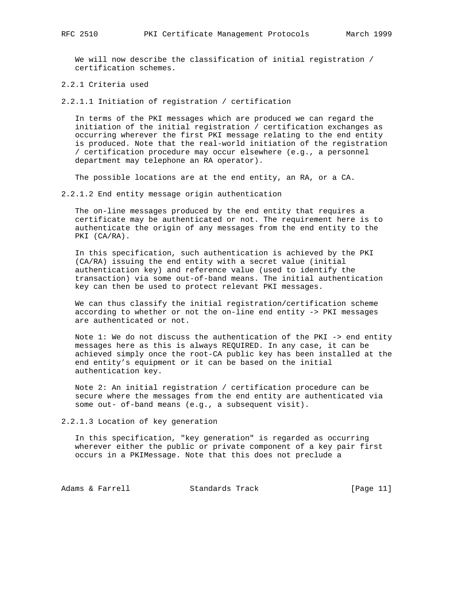We will now describe the classification of initial registration / certification schemes.

2.2.1 Criteria used

2.2.1.1 Initiation of registration / certification

 In terms of the PKI messages which are produced we can regard the initiation of the initial registration / certification exchanges as occurring wherever the first PKI message relating to the end entity is produced. Note that the real-world initiation of the registration / certification procedure may occur elsewhere (e.g., a personnel department may telephone an RA operator).

The possible locations are at the end entity, an RA, or a CA.

2.2.1.2 End entity message origin authentication

 The on-line messages produced by the end entity that requires a certificate may be authenticated or not. The requirement here is to authenticate the origin of any messages from the end entity to the PKI (CA/RA).

 In this specification, such authentication is achieved by the PKI (CA/RA) issuing the end entity with a secret value (initial authentication key) and reference value (used to identify the transaction) via some out-of-band means. The initial authentication key can then be used to protect relevant PKI messages.

 We can thus classify the initial registration/certification scheme according to whether or not the on-line end entity -> PKI messages are authenticated or not.

 Note 1: We do not discuss the authentication of the PKI -> end entity messages here as this is always REQUIRED. In any case, it can be achieved simply once the root-CA public key has been installed at the end entity's equipment or it can be based on the initial authentication key.

 Note 2: An initial registration / certification procedure can be secure where the messages from the end entity are authenticated via some out- of-band means (e.g., a subsequent visit).

2.2.1.3 Location of key generation

 In this specification, "key generation" is regarded as occurring wherever either the public or private component of a key pair first occurs in a PKIMessage. Note that this does not preclude a

Adams & Farrell **Standards Track** [Page 11]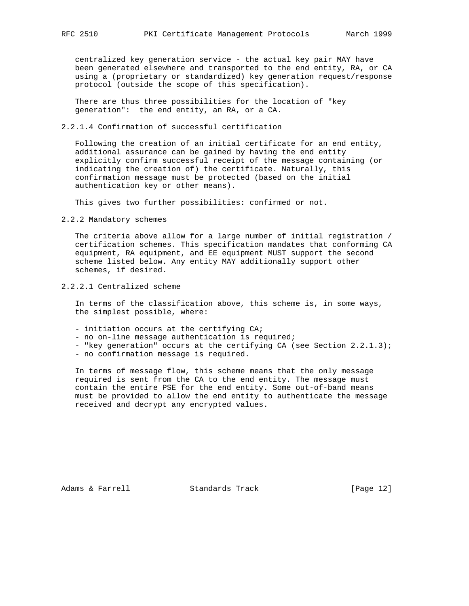centralized key generation service - the actual key pair MAY have been generated elsewhere and transported to the end entity, RA, or CA using a (proprietary or standardized) key generation request/response protocol (outside the scope of this specification).

 There are thus three possibilities for the location of "key generation": the end entity, an RA, or a CA.

### 2.2.1.4 Confirmation of successful certification

 Following the creation of an initial certificate for an end entity, additional assurance can be gained by having the end entity explicitly confirm successful receipt of the message containing (or indicating the creation of) the certificate. Naturally, this confirmation message must be protected (based on the initial authentication key or other means).

This gives two further possibilities: confirmed or not.

2.2.2 Mandatory schemes

 The criteria above allow for a large number of initial registration / certification schemes. This specification mandates that conforming CA equipment, RA equipment, and EE equipment MUST support the second scheme listed below. Any entity MAY additionally support other schemes, if desired.

2.2.2.1 Centralized scheme

 In terms of the classification above, this scheme is, in some ways, the simplest possible, where:

- initiation occurs at the certifying CA;
- no on-line message authentication is required;
- "key generation" occurs at the certifying CA (see Section 2.2.1.3);
- no confirmation message is required.

 In terms of message flow, this scheme means that the only message required is sent from the CA to the end entity. The message must contain the entire PSE for the end entity. Some out-of-band means must be provided to allow the end entity to authenticate the message received and decrypt any encrypted values.

Adams & Farrell Standards Track [Page 12]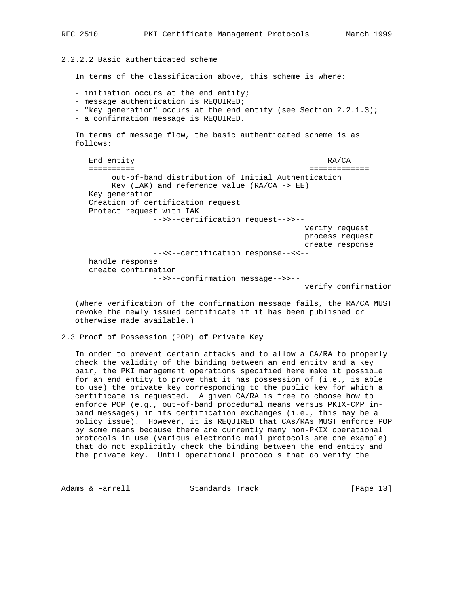2.2.2.2 Basic authenticated scheme

In terms of the classification above, this scheme is where:

- initiation occurs at the end entity;

- message authentication is REQUIRED;

- "key generation" occurs at the end entity (see Section 2.2.1.3);
- a confirmation message is REQUIRED.

 In terms of message flow, the basic authenticated scheme is as follows:

End entity RA/CA ========== ============= out-of-band distribution of Initial Authentication Key (IAK) and reference value  $(RA/CA \rightarrow EE)$  Key generation Creation of certification request Protect request with IAK -->>--certification request-->>- verify request process request create response --<<--certification response--<<- handle response create confirmation -->>--confirmation message-->>--

verify confirmation

 (Where verification of the confirmation message fails, the RA/CA MUST revoke the newly issued certificate if it has been published or otherwise made available.)

2.3 Proof of Possession (POP) of Private Key

 In order to prevent certain attacks and to allow a CA/RA to properly check the validity of the binding between an end entity and a key pair, the PKI management operations specified here make it possible for an end entity to prove that it has possession of (i.e., is able to use) the private key corresponding to the public key for which a certificate is requested. A given CA/RA is free to choose how to enforce POP (e.g., out-of-band procedural means versus PKIX-CMP in band messages) in its certification exchanges (i.e., this may be a policy issue). However, it is REQUIRED that CAs/RAs MUST enforce POP by some means because there are currently many non-PKIX operational protocols in use (various electronic mail protocols are one example) that do not explicitly check the binding between the end entity and the private key. Until operational protocols that do verify the

Adams & Farrell **Standards Track** [Page 13]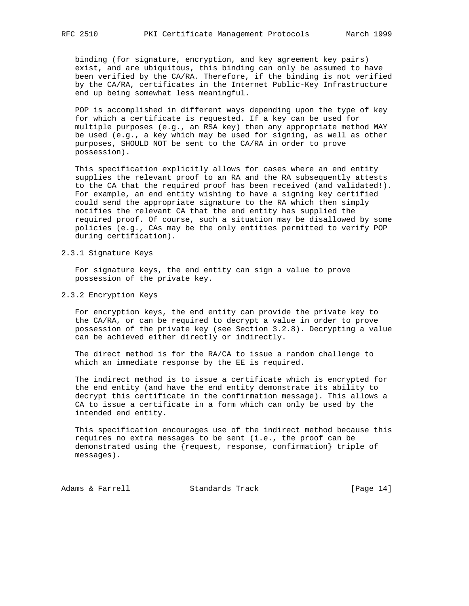binding (for signature, encryption, and key agreement key pairs) exist, and are ubiquitous, this binding can only be assumed to have been verified by the CA/RA. Therefore, if the binding is not verified by the CA/RA, certificates in the Internet Public-Key Infrastructure end up being somewhat less meaningful.

 POP is accomplished in different ways depending upon the type of key for which a certificate is requested. If a key can be used for multiple purposes (e.g., an RSA key) then any appropriate method MAY be used (e.g., a key which may be used for signing, as well as other purposes, SHOULD NOT be sent to the CA/RA in order to prove possession).

 This specification explicitly allows for cases where an end entity supplies the relevant proof to an RA and the RA subsequently attests to the CA that the required proof has been received (and validated!). For example, an end entity wishing to have a signing key certified could send the appropriate signature to the RA which then simply notifies the relevant CA that the end entity has supplied the required proof. Of course, such a situation may be disallowed by some policies (e.g., CAs may be the only entities permitted to verify POP during certification).

#### 2.3.1 Signature Keys

 For signature keys, the end entity can sign a value to prove possession of the private key.

2.3.2 Encryption Keys

 For encryption keys, the end entity can provide the private key to the CA/RA, or can be required to decrypt a value in order to prove possession of the private key (see Section 3.2.8). Decrypting a value can be achieved either directly or indirectly.

 The direct method is for the RA/CA to issue a random challenge to which an immediate response by the EE is required.

 The indirect method is to issue a certificate which is encrypted for the end entity (and have the end entity demonstrate its ability to decrypt this certificate in the confirmation message). This allows a CA to issue a certificate in a form which can only be used by the intended end entity.

 This specification encourages use of the indirect method because this requires no extra messages to be sent (i.e., the proof can be demonstrated using the {request, response, confirmation} triple of messages).

Adams & Farrell Standards Track [Page 14]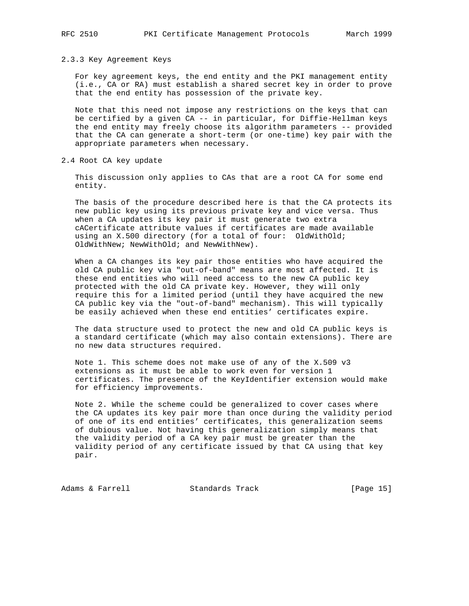#### 2.3.3 Key Agreement Keys

 For key agreement keys, the end entity and the PKI management entity (i.e., CA or RA) must establish a shared secret key in order to prove that the end entity has possession of the private key.

 Note that this need not impose any restrictions on the keys that can be certified by a given CA -- in particular, for Diffie-Hellman keys the end entity may freely choose its algorithm parameters -- provided that the CA can generate a short-term (or one-time) key pair with the appropriate parameters when necessary.

2.4 Root CA key update

 This discussion only applies to CAs that are a root CA for some end entity.

 The basis of the procedure described here is that the CA protects its new public key using its previous private key and vice versa. Thus when a CA updates its key pair it must generate two extra cACertificate attribute values if certificates are made available using an X.500 directory (for a total of four: OldWithOld; OldWithNew; NewWithOld; and NewWithNew).

 When a CA changes its key pair those entities who have acquired the old CA public key via "out-of-band" means are most affected. It is these end entities who will need access to the new CA public key protected with the old CA private key. However, they will only require this for a limited period (until they have acquired the new CA public key via the "out-of-band" mechanism). This will typically be easily achieved when these end entities' certificates expire.

 The data structure used to protect the new and old CA public keys is a standard certificate (which may also contain extensions). There are no new data structures required.

 Note 1. This scheme does not make use of any of the X.509 v3 extensions as it must be able to work even for version 1 certificates. The presence of the KeyIdentifier extension would make for efficiency improvements.

 Note 2. While the scheme could be generalized to cover cases where the CA updates its key pair more than once during the validity period of one of its end entities' certificates, this generalization seems of dubious value. Not having this generalization simply means that the validity period of a CA key pair must be greater than the validity period of any certificate issued by that CA using that key pair.

Adams & Farrell Standards Track [Page 15]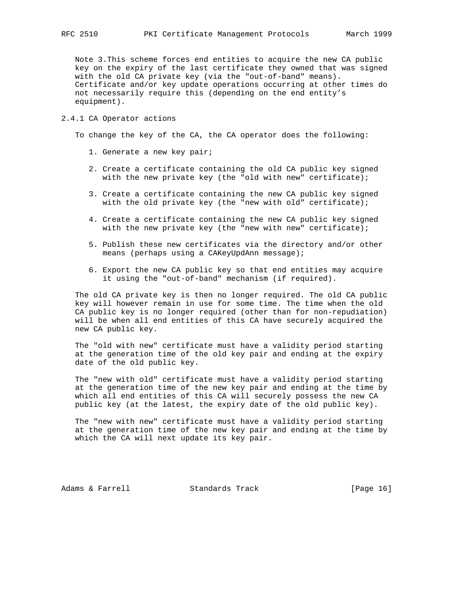Note 3.This scheme forces end entities to acquire the new CA public key on the expiry of the last certificate they owned that was signed with the old CA private key (via the "out-of-band" means). Certificate and/or key update operations occurring at other times do not necessarily require this (depending on the end entity's equipment).

#### 2.4.1 CA Operator actions

To change the key of the CA, the CA operator does the following:

- 1. Generate a new key pair;
- 2. Create a certificate containing the old CA public key signed with the new private key (the "old with new" certificate);
- 3. Create a certificate containing the new CA public key signed with the old private key (the "new with old" certificate);
- 4. Create a certificate containing the new CA public key signed with the new private key (the "new with new" certificate);
- 5. Publish these new certificates via the directory and/or other means (perhaps using a CAKeyUpdAnn message);
- 6. Export the new CA public key so that end entities may acquire it using the "out-of-band" mechanism (if required).

 The old CA private key is then no longer required. The old CA public key will however remain in use for some time. The time when the old CA public key is no longer required (other than for non-repudiation) will be when all end entities of this CA have securely acquired the new CA public key.

 The "old with new" certificate must have a validity period starting at the generation time of the old key pair and ending at the expiry date of the old public key.

 The "new with old" certificate must have a validity period starting at the generation time of the new key pair and ending at the time by which all end entities of this CA will securely possess the new CA public key (at the latest, the expiry date of the old public key).

 The "new with new" certificate must have a validity period starting at the generation time of the new key pair and ending at the time by which the CA will next update its key pair.

Adams & Farrell **Standards Track** [Page 16]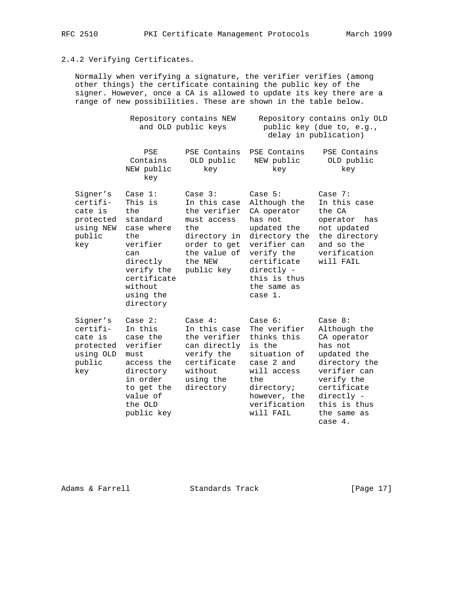# 2.4.2 Verifying Certificates.

 Normally when verifying a signature, the verifier verifies (among other things) the certificate containing the public key of the signer. However, once a CA is allowed to update its key there are a range of new possibilities. These are shown in the table below.

|                                                                            | Repository contains NEW<br>and OLD public keys                                                                                                                |                                                                                                                                          | Repository contains only OLD<br>public key (due to, e.g.,<br>delay in publication)                                                                                                       |                                                                                                                                                                                          |
|----------------------------------------------------------------------------|---------------------------------------------------------------------------------------------------------------------------------------------------------------|------------------------------------------------------------------------------------------------------------------------------------------|------------------------------------------------------------------------------------------------------------------------------------------------------------------------------------------|------------------------------------------------------------------------------------------------------------------------------------------------------------------------------------------|
|                                                                            | PSE<br>Contains<br>NEW public<br>key                                                                                                                          | PSE Contains<br>OLD public<br>key                                                                                                        | PSE Contains<br>NEW public<br>key                                                                                                                                                        | PSE Contains<br>OLD public<br>key                                                                                                                                                        |
| Signer's<br>certifi-<br>cate is<br>protected<br>using NEW<br>public<br>key | Case $1:$<br>This is<br>the<br>standard<br>case where<br>the<br>verifier<br>can<br>directly<br>verify the<br>certificate<br>without<br>using the<br>directory | Case $3:$<br>In this case<br>the verifier<br>must access<br>the<br>directory in<br>order to get<br>the value of<br>the NEW<br>public key | Case $5:$<br>Although the<br>CA operator<br>has not<br>updated the<br>directory the<br>verifier can<br>verify the<br>certificate<br>directly -<br>this is thus<br>the same as<br>case 1. | Case $7:$<br>In this case<br>the CA<br>operator<br>has<br>not updated<br>the directory<br>and so the<br>verification<br>will FAIL                                                        |
| Signer's<br>certifi-<br>cate is<br>protected<br>using OLD<br>public<br>key | Case $2:$<br>In this<br>case the<br>verifier<br>must<br>access the<br>directory<br>in order<br>to get the<br>value of<br>the OLD<br>public key                | Case $4:$<br>In this case<br>the verifier<br>can directly<br>verify the<br>certificate<br>without<br>using the<br>directory              | Case $6:$<br>The verifier<br>thinks this<br>is the<br>situation of<br>case 2 and<br>will access<br>the<br>directory;<br>however, the<br>verification<br>will FAIL                        | Case $8:$<br>Although the<br>CA operator<br>has not<br>updated the<br>directory the<br>verifier can<br>verify the<br>certificate<br>directly -<br>this is thus<br>the same as<br>case 4. |

Adams & Farrell Standards Track [Page 17]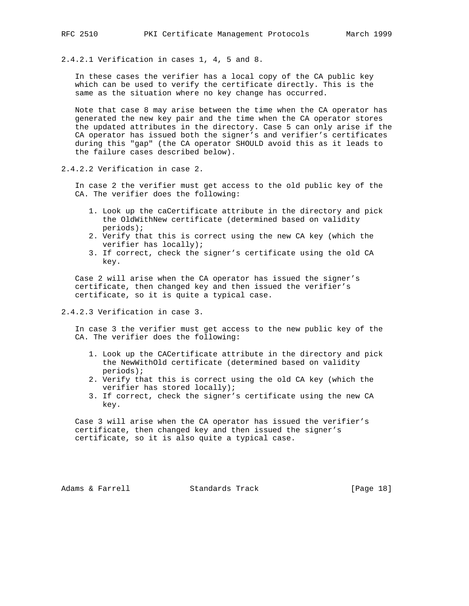2.4.2.1 Verification in cases 1, 4, 5 and 8.

 In these cases the verifier has a local copy of the CA public key which can be used to verify the certificate directly. This is the same as the situation where no key change has occurred.

 Note that case 8 may arise between the time when the CA operator has generated the new key pair and the time when the CA operator stores the updated attributes in the directory. Case 5 can only arise if the CA operator has issued both the signer's and verifier's certificates during this "gap" (the CA operator SHOULD avoid this as it leads to the failure cases described below).

2.4.2.2 Verification in case 2.

 In case 2 the verifier must get access to the old public key of the CA. The verifier does the following:

- 1. Look up the caCertificate attribute in the directory and pick the OldWithNew certificate (determined based on validity periods);
- 2. Verify that this is correct using the new CA key (which the verifier has locally);
- 3. If correct, check the signer's certificate using the old CA key.

 Case 2 will arise when the CA operator has issued the signer's certificate, then changed key and then issued the verifier's certificate, so it is quite a typical case.

2.4.2.3 Verification in case 3.

 In case 3 the verifier must get access to the new public key of the CA. The verifier does the following:

- 1. Look up the CACertificate attribute in the directory and pick the NewWithOld certificate (determined based on validity periods);
- 2. Verify that this is correct using the old CA key (which the verifier has stored locally);
- 3. If correct, check the signer's certificate using the new CA key.

 Case 3 will arise when the CA operator has issued the verifier's certificate, then changed key and then issued the signer's certificate, so it is also quite a typical case.

Adams & Farrell **Standards Track** [Page 18]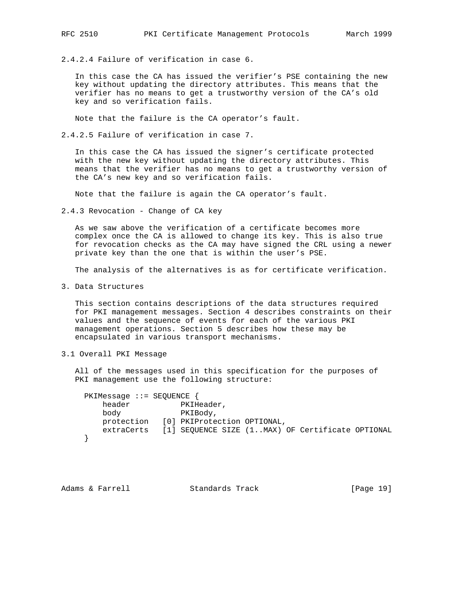2.4.2.4 Failure of verification in case 6.

 In this case the CA has issued the verifier's PSE containing the new key without updating the directory attributes. This means that the verifier has no means to get a trustworthy version of the CA's old key and so verification fails.

Note that the failure is the CA operator's fault.

2.4.2.5 Failure of verification in case 7.

 In this case the CA has issued the signer's certificate protected with the new key without updating the directory attributes. This means that the verifier has no means to get a trustworthy version of the CA's new key and so verification fails.

Note that the failure is again the CA operator's fault.

2.4.3 Revocation - Change of CA key

 As we saw above the verification of a certificate becomes more complex once the CA is allowed to change its key. This is also true for revocation checks as the CA may have signed the CRL using a newer private key than the one that is within the user's PSE.

The analysis of the alternatives is as for certificate verification.

3. Data Structures

 This section contains descriptions of the data structures required for PKI management messages. Section 4 describes constraints on their values and the sequence of events for each of the various PKI management operations. Section 5 describes how these may be encapsulated in various transport mechanisms.

3.1 Overall PKI Message

 All of the messages used in this specification for the purposes of PKI management use the following structure:

```
 PKIMessage ::= SEQUENCE {
   header PKIHeader,
    body PKIBody,
    protection [0] PKIProtection OPTIONAL,
    extraCerts [1] SEQUENCE SIZE (1..MAX) OF Certificate OPTIONAL
 }
```
Adams & Farrell **Standards Track** [Page 19]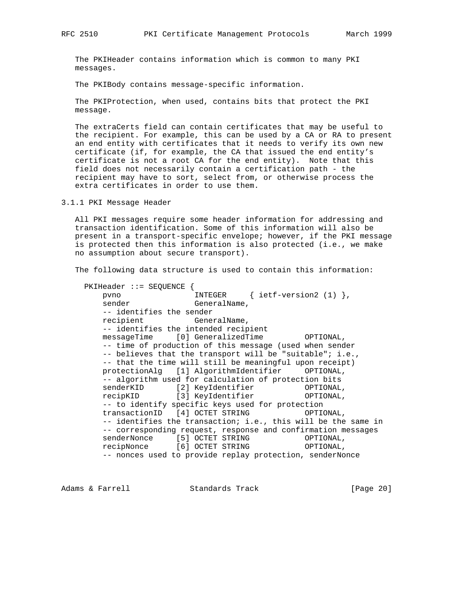The PKIHeader contains information which is common to many PKI messages.

The PKIBody contains message-specific information.

 The PKIProtection, when used, contains bits that protect the PKI message.

 The extraCerts field can contain certificates that may be useful to the recipient. For example, this can be used by a CA or RA to present an end entity with certificates that it needs to verify its own new certificate (if, for example, the CA that issued the end entity's certificate is not a root CA for the end entity). Note that this field does not necessarily contain a certification path - the recipient may have to sort, select from, or otherwise process the extra certificates in order to use them.

3.1.1 PKI Message Header

 All PKI messages require some header information for addressing and transaction identification. Some of this information will also be present in a transport-specific envelope; however, if the PKI message is protected then this information is also protected (i.e., we make no assumption about secure transport).

The following data structure is used to contain this information:

 PKIHeader ::= SEQUENCE { INTEGER  $\{ \text{ietf-version2 (1)} \},$ sender GeneralName, -- identifies the sender recipient GeneralName, -- identifies the intended recipient messageTime [0] GeneralizedTime OPTIONAL, -- time of production of this message (used when sender -- believes that the transport will be "suitable"; i.e., -- that the time will still be meaningful upon receipt) protectionAlg [1] AlgorithmIdentifier OPTIONAL, -- algorithm used for calculation of protection bits senderKID [2] KeyIdentifier OPTIONAL, recipKID [3] KeyIdentifier OPTIONAL, -- to identify specific keys used for protection transactionID [4] OCTET STRING OPTIONAL, -- identifies the transaction; i.e., this will be the same in -- corresponding request, response and confirmation messages senderNonce [5] OCTET STRING OPTIONAL, recipNonce [6] OCTET STRING OPTIONAL, -- nonces used to provide replay protection, senderNonce

Adams & Farrell Standards Track [Page 20]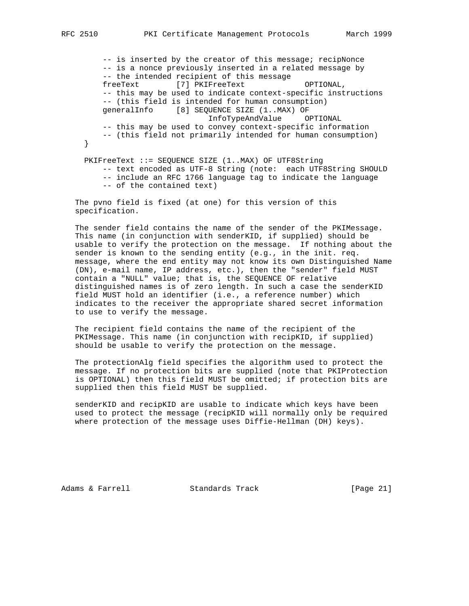-- is inserted by the creator of this message; recipNonce -- is a nonce previously inserted in a related message by -- the intended recipient of this message freeText [7] PKIFreeText OPTIONAL, -- this may be used to indicate context-specific instructions -- (this field is intended for human consumption) generalInfo [8] SEQUENCE SIZE (1..MAX) OF InfoTypeAndValue OPTIONAL -- this may be used to convey context-specific information -- (this field not primarily intended for human consumption) } PKIFreeText ::= SEQUENCE SIZE (1..MAX) OF UTF8String -- text encoded as UTF-8 String (note: each UTF8String SHOULD -- include an RFC 1766 language tag to indicate the language

-- of the contained text)

 The pvno field is fixed (at one) for this version of this specification.

 The sender field contains the name of the sender of the PKIMessage. This name (in conjunction with senderKID, if supplied) should be usable to verify the protection on the message. If nothing about the sender is known to the sending entity (e.g., in the init. req. message, where the end entity may not know its own Distinguished Name (DN), e-mail name, IP address, etc.), then the "sender" field MUST contain a "NULL" value; that is, the SEQUENCE OF relative distinguished names is of zero length. In such a case the senderKID field MUST hold an identifier (i.e., a reference number) which indicates to the receiver the appropriate shared secret information to use to verify the message.

 The recipient field contains the name of the recipient of the PKIMessage. This name (in conjunction with recipKID, if supplied) should be usable to verify the protection on the message.

 The protectionAlg field specifies the algorithm used to protect the message. If no protection bits are supplied (note that PKIProtection is OPTIONAL) then this field MUST be omitted; if protection bits are supplied then this field MUST be supplied.

 senderKID and recipKID are usable to indicate which keys have been used to protect the message (recipKID will normally only be required where protection of the message uses Diffie-Hellman (DH) keys).

Adams & Farrell **Standards Track** [Page 21]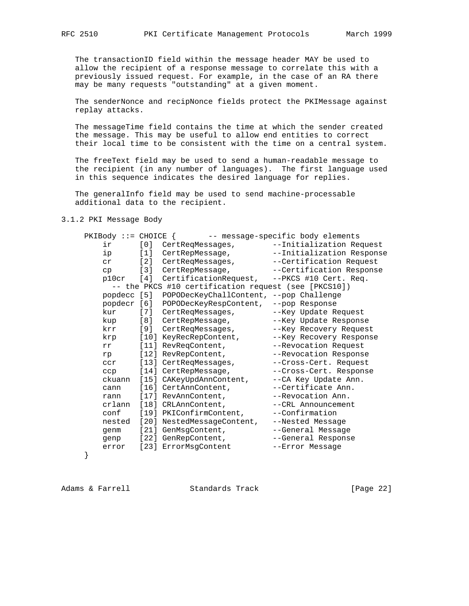The transactionID field within the message header MAY be used to allow the recipient of a response message to correlate this with a previously issued request. For example, in the case of an RA there may be many requests "outstanding" at a given moment.

 The senderNonce and recipNonce fields protect the PKIMessage against replay attacks.

 The messageTime field contains the time at which the sender created the message. This may be useful to allow end entities to correct their local time to be consistent with the time on a central system.

 The freeText field may be used to send a human-readable message to the recipient (in any number of languages). The first language used in this sequence indicates the desired language for replies.

 The generalInfo field may be used to send machine-processable additional data to the recipient.

3.1.2 PKI Message Body

|                                                      | $PKIBody :: = CHOICE$<br>-- message-specific body elements |       |                                             |                           |
|------------------------------------------------------|------------------------------------------------------------|-------|---------------------------------------------|---------------------------|
|                                                      | ir                                                         |       | [0] CertReqMessages,                        | --Initialization Request  |
|                                                      | ip                                                         | [1]   | CertRepMessage,                             | --Initialization Response |
|                                                      | cr                                                         |       | [2] CertReqMessages,                        | --Certification Request   |
|                                                      | cp                                                         | $[3]$ | CertRepMessage,                             | --Certification Response  |
|                                                      | p10cr                                                      | [4]   | CertificationRequest, --PKCS #10 Cert. Req. |                           |
| -- the PKCS #10 certification request (see [PKCS10]) |                                                            |       |                                             |                           |
|                                                      | popdecc [5]                                                |       | POPODecKeyChallContent, --pop Challenge     |                           |
|                                                      |                                                            |       | popdecr [6] POPODecKeyRespContent,          | --pop Response            |
|                                                      | kur                                                        |       | [7] CertReqMessages,                        | --Key Update Request      |
|                                                      | kup                                                        |       | [8] CertRepMessage,                         | --Key Update Response     |
|                                                      | krr                                                        |       | [9] CertReqMessages,                        | --Key Recovery Request    |
|                                                      | krp                                                        |       | [10] KeyRecRepContent,                      | --Key Recovery Response   |
|                                                      | rr                                                         |       | [11] RevReqContent,                         | --Revocation Request      |
|                                                      | rp                                                         |       | [12] RevRepContent,                         | --Revocation Response     |
|                                                      | ccr                                                        |       | [13] CertReqMessages,                       | --Cross-Cert. Request     |
|                                                      | ccp                                                        |       | [14] CertRepMessage,                        | --Cross-Cert. Response    |
|                                                      | ckuann                                                     |       | [15] CAKeyUpdAnnContent,                    | --CA Key Update Ann.      |
|                                                      | cann                                                       |       | [16] CertAnnContent,                        | --Certificate Ann.        |
|                                                      | rann                                                       |       | [17] RevAnnContent,                         | --Revocation Ann.         |
|                                                      | crlann                                                     |       | [18] CRLAnnContent,                         | --CRL Announcement        |
|                                                      | conf                                                       |       | [19] PKIConfirmContent,                     | --Confirmation            |
|                                                      | nested                                                     |       | [20] NestedMessageContent,                  | --Nested Message          |
|                                                      | qenm                                                       |       | [21] GenMsgContent,                         | --General Message         |
|                                                      | genp                                                       |       | [22] GenRepContent,                         | --General Response        |
|                                                      | error                                                      |       | [23] ErrorMsqContent                        | --Error Message           |
|                                                      |                                                            |       |                                             |                           |

}

Adams & Farrell **Standards Track** [Page 22]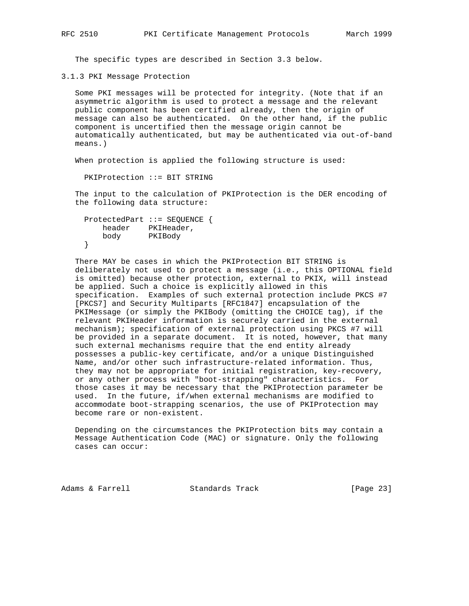The specific types are described in Section 3.3 below.

3.1.3 PKI Message Protection

 Some PKI messages will be protected for integrity. (Note that if an asymmetric algorithm is used to protect a message and the relevant public component has been certified already, then the origin of message can also be authenticated. On the other hand, if the public component is uncertified then the message origin cannot be automatically authenticated, but may be authenticated via out-of-band means.)

When protection is applied the following structure is used:

PKIProtection ::= BIT STRING

 The input to the calculation of PKIProtection is the DER encoding of the following data structure:

```
 ProtectedPart ::= SEQUENCE {
    header PKIHeader,
    body PKIBody
 }
```
 There MAY be cases in which the PKIProtection BIT STRING is deliberately not used to protect a message (i.e., this OPTIONAL field is omitted) because other protection, external to PKIX, will instead be applied. Such a choice is explicitly allowed in this specification. Examples of such external protection include PKCS #7 [PKCS7] and Security Multiparts [RFC1847] encapsulation of the PKIMessage (or simply the PKIBody (omitting the CHOICE tag), if the relevant PKIHeader information is securely carried in the external mechanism); specification of external protection using PKCS #7 will be provided in a separate document. It is noted, however, that many such external mechanisms require that the end entity already possesses a public-key certificate, and/or a unique Distinguished Name, and/or other such infrastructure-related information. Thus, they may not be appropriate for initial registration, key-recovery, or any other process with "boot-strapping" characteristics. For those cases it may be necessary that the PKIProtection parameter be used. In the future, if/when external mechanisms are modified to accommodate boot-strapping scenarios, the use of PKIProtection may become rare or non-existent.

 Depending on the circumstances the PKIProtection bits may contain a Message Authentication Code (MAC) or signature. Only the following cases can occur:

Adams & Farrell **Standards Track** [Page 23]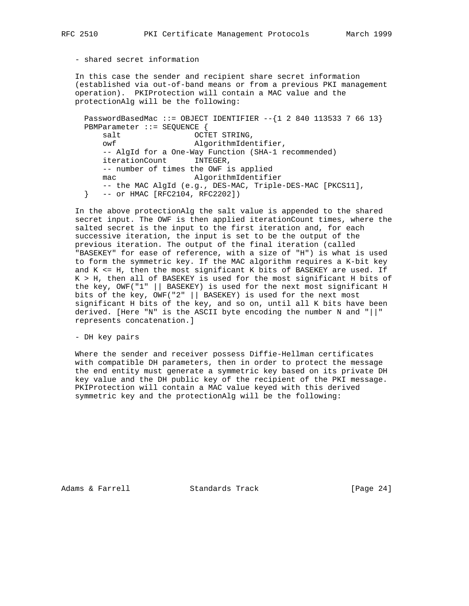- shared secret information

 In this case the sender and recipient share secret information (established via out-of-band means or from a previous PKI management operation). PKIProtection will contain a MAC value and the protectionAlg will be the following:

PasswordBasedMac ::= OBJECT IDENTIFIER  $--{12 840 113533 7 66 13}$  PBMParameter ::= SEQUENCE { salt OCTET STRING, owf AlgorithmIdentifier, -- AlgId for a One-Way Function (SHA-1 recommended) iterationCount INTEGER, -- number of times the OWF is applied mac AlgorithmIdentifier -- the MAC AlgId (e.g., DES-MAC, Triple-DES-MAC [PKCS11], } -- or HMAC [RFC2104, RFC2202])

 In the above protectionAlg the salt value is appended to the shared secret input. The OWF is then applied iterationCount times, where the salted secret is the input to the first iteration and, for each successive iteration, the input is set to be the output of the previous iteration. The output of the final iteration (called "BASEKEY" for ease of reference, with a size of "H") is what is used to form the symmetric key. If the MAC algorithm requires a K-bit key and  $K \leq H$ , then the most significant K bits of BASEKEY are used. If K > H, then all of BASEKEY is used for the most significant H bits of the key, OWF("1" || BASEKEY) is used for the next most significant H bits of the key, OWF("2" || BASEKEY) is used for the next most significant H bits of the key, and so on, until all K bits have been derived. [Here "N" is the ASCII byte encoding the number N and "||" represents concatenation.]

- DH key pairs

 Where the sender and receiver possess Diffie-Hellman certificates with compatible DH parameters, then in order to protect the message the end entity must generate a symmetric key based on its private DH key value and the DH public key of the recipient of the PKI message. PKIProtection will contain a MAC value keyed with this derived symmetric key and the protectionAlg will be the following:

Adams & Farrell **Standards Track** [Page 24]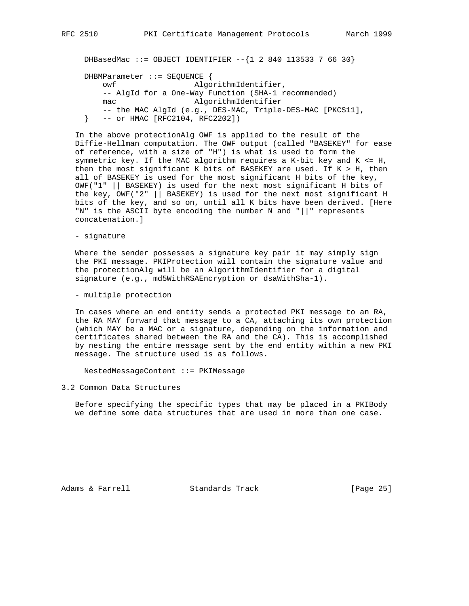DHBasedMac ::= OBJECT IDENTIFIER  $--{1284011353376630}$  DHBMParameter ::= SEQUENCE { owf AlgorithmIdentifier, -- AlgId for a One-Way Function (SHA-1 recommended) mac AlgorithmIdentifier -- the MAC AlgId (e.g., DES-MAC, Triple-DES-MAC [PKCS11],

} -- or HMAC [RFC2104, RFC2202])

 In the above protectionAlg OWF is applied to the result of the Diffie-Hellman computation. The OWF output (called "BASEKEY" for ease of reference, with a size of "H") is what is used to form the symmetric key. If the MAC algorithm requires a K-bit key and K <= H, then the most significant K bits of BASEKEY are used. If K > H, then all of BASEKEY is used for the most significant H bits of the key, OWF("1" || BASEKEY) is used for the next most significant H bits of the key, OWF("2" || BASEKEY) is used for the next most significant H bits of the key, and so on, until all K bits have been derived. [Here "N" is the ASCII byte encoding the number N and "||" represents concatenation.]

## - signature

 Where the sender possesses a signature key pair it may simply sign the PKI message. PKIProtection will contain the signature value and the protectionAlg will be an AlgorithmIdentifier for a digital signature (e.g., md5WithRSAEncryption or dsaWithSha-1).

- multiple protection

 In cases where an end entity sends a protected PKI message to an RA, the RA MAY forward that message to a CA, attaching its own protection (which MAY be a MAC or a signature, depending on the information and certificates shared between the RA and the CA). This is accomplished by nesting the entire message sent by the end entity within a new PKI message. The structure used is as follows.

NestedMessageContent ::= PKIMessage

3.2 Common Data Structures

 Before specifying the specific types that may be placed in a PKIBody we define some data structures that are used in more than one case.

Adams & Farrell **Standards Track** [Page 25]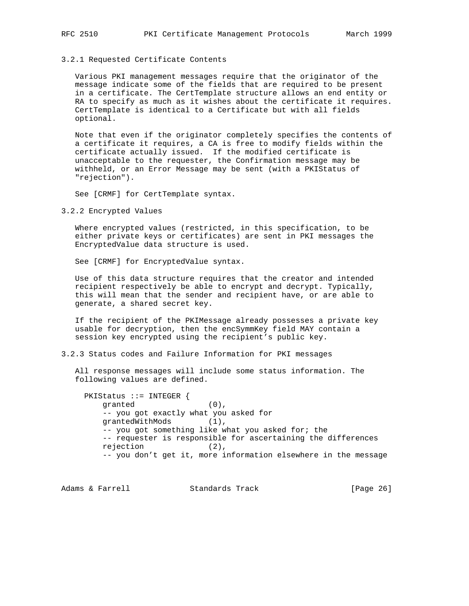### 3.2.1 Requested Certificate Contents

 Various PKI management messages require that the originator of the message indicate some of the fields that are required to be present in a certificate. The CertTemplate structure allows an end entity or RA to specify as much as it wishes about the certificate it requires. CertTemplate is identical to a Certificate but with all fields optional.

 Note that even if the originator completely specifies the contents of a certificate it requires, a CA is free to modify fields within the certificate actually issued. If the modified certificate is unacceptable to the requester, the Confirmation message may be withheld, or an Error Message may be sent (with a PKIStatus of "rejection").

See [CRMF] for CertTemplate syntax.

3.2.2 Encrypted Values

 Where encrypted values (restricted, in this specification, to be either private keys or certificates) are sent in PKI messages the EncryptedValue data structure is used.

See [CRMF] for EncryptedValue syntax.

 Use of this data structure requires that the creator and intended recipient respectively be able to encrypt and decrypt. Typically, this will mean that the sender and recipient have, or are able to generate, a shared secret key.

 If the recipient of the PKIMessage already possesses a private key usable for decryption, then the encSymmKey field MAY contain a session key encrypted using the recipient's public key.

3.2.3 Status codes and Failure Information for PKI messages

 All response messages will include some status information. The following values are defined.

 PKIStatus ::= INTEGER { granted  $(0)$ , -- you got exactly what you asked for grantedWithMods (1), -- you got something like what you asked for; the -- requester is responsible for ascertaining the differences rejection (2), -- you don't get it, more information elsewhere in the message

Adams & Farrell **Standards Track** [Page 26]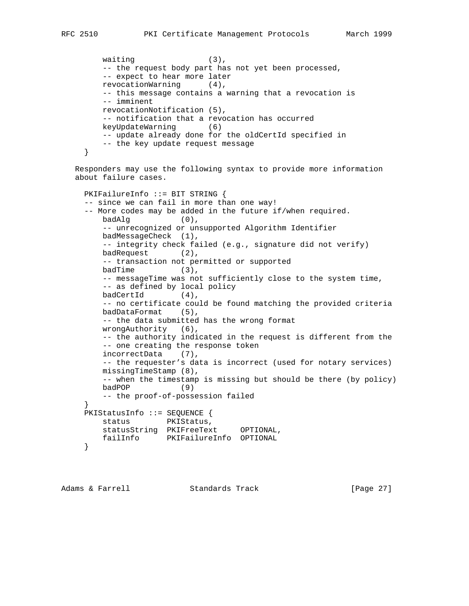```
waiting (3),
    -- the request body part has not yet been processed,
    -- expect to hear more later
    revocationWarning (4),
    -- this message contains a warning that a revocation is
    -- imminent
    revocationNotification (5),
    -- notification that a revocation has occurred
    keyUpdateWarning (6)
    -- update already done for the oldCertId specified in
    -- the key update request message
 }
```
 Responders may use the following syntax to provide more information about failure cases.

```
 PKIFailureInfo ::= BIT STRING {
     -- since we can fail in more than one way!
     -- More codes may be added in the future if/when required.
         badAlg (0),
         -- unrecognized or unsupported Algorithm Identifier
         badMessageCheck (1),
         -- integrity check failed (e.g., signature did not verify)
         badRequest (2),
         -- transaction not permitted or supported
        badTime (3),
         -- messageTime was not sufficiently close to the system time,
         -- as defined by local policy
         badCertId (4),
         -- no certificate could be found matching the provided criteria
         badDataFormat (5),
         -- the data submitted has the wrong format
         wrongAuthority (6),
         -- the authority indicated in the request is different from the
         -- one creating the response token
         incorrectData (7),
         -- the requester's data is incorrect (used for notary services)
         missingTimeStamp (8),
         -- when the timestamp is missing but should be there (by policy)
         badPOP (9)
         -- the proof-of-possession failed
 }
     PKIStatusInfo ::= SEQUENCE {
        status PKIStatus,
         statusString PKIFreeText OPTIONAL,
        failInfo PKIFailureInfo OPTIONAL
     }
```

```
Adams & Farrell Standards Track [Page 27]
```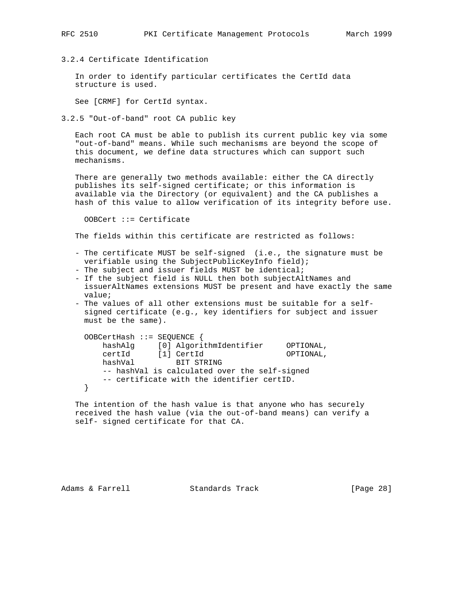# 3.2.4 Certificate Identification

 In order to identify particular certificates the CertId data structure is used.

See [CRMF] for CertId syntax.

3.2.5 "Out-of-band" root CA public key

 Each root CA must be able to publish its current public key via some "out-of-band" means. While such mechanisms are beyond the scope of this document, we define data structures which can support such mechanisms.

 There are generally two methods available: either the CA directly publishes its self-signed certificate; or this information is available via the Directory (or equivalent) and the CA publishes a hash of this value to allow verification of its integrity before use.

OOBCert ::= Certificate

The fields within this certificate are restricted as follows:

- The certificate MUST be self-signed (i.e., the signature must be verifiable using the SubjectPublicKeyInfo field);
- The subject and issuer fields MUST be identical;
- If the subject field is NULL then both subjectAltNames and issuerAltNames extensions MUST be present and have exactly the same value;
- The values of all other extensions must be suitable for a self signed certificate (e.g., key identifiers for subject and issuer must be the same).

```
 OOBCertHash ::= SEQUENCE {
 hashAlg [0] AlgorithmIdentifier OPTIONAL,
 certId [1] CertId OPTIONAL,
 hashVal BIT STRING
       -- hashVal is calculated over the self-signed
       -- certificate with the identifier certID.
    }
```
 The intention of the hash value is that anyone who has securely received the hash value (via the out-of-band means) can verify a self- signed certificate for that CA.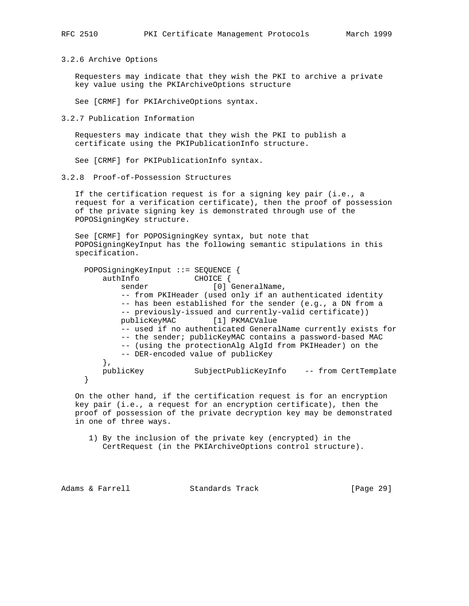3.2.6 Archive Options

 Requesters may indicate that they wish the PKI to archive a private key value using the PKIArchiveOptions structure

See [CRMF] for PKIArchiveOptions syntax.

3.2.7 Publication Information

 Requesters may indicate that they wish the PKI to publish a certificate using the PKIPublicationInfo structure.

See [CRMF] for PKIPublicationInfo syntax.

3.2.8 Proof-of-Possession Structures

 If the certification request is for a signing key pair (i.e., a request for a verification certificate), then the proof of possession of the private signing key is demonstrated through use of the POPOSigningKey structure.

 See [CRMF] for POPOSigningKey syntax, but note that POPOSigningKeyInput has the following semantic stipulations in this specification.

 POPOSigningKeyInput ::= SEQUENCE { authInfo CHOICE { sender [0] GeneralName, -- from PKIHeader (used only if an authenticated identity -- has been established for the sender (e.g., a DN from a -- previously-issued and currently-valid certificate)) publicKeyMAC [1] PKMACValue -- used if no authenticated GeneralName currently exists for -- the sender; publicKeyMAC contains a password-based MAC -- (using the protectionAlg AlgId from PKIHeader) on the -- DER-encoded value of publicKey }, publicKey SubjectPublicKeyInfo -- from CertTemplate }

 On the other hand, if the certification request is for an encryption key pair (i.e., a request for an encryption certificate), then the proof of possession of the private decryption key may be demonstrated in one of three ways.

 1) By the inclusion of the private key (encrypted) in the CertRequest (in the PKIArchiveOptions control structure).

Adams & Farrell **Standards Track** [Page 29]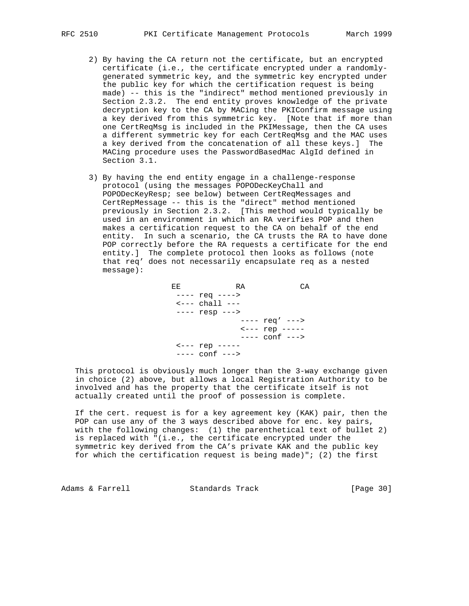- 2) By having the CA return not the certificate, but an encrypted certificate (i.e., the certificate encrypted under a randomly generated symmetric key, and the symmetric key encrypted under the public key for which the certification request is being made) -- this is the "indirect" method mentioned previously in Section 2.3.2. The end entity proves knowledge of the private decryption key to the CA by MACing the PKIConfirm message using a key derived from this symmetric key. [Note that if more than one CertReqMsg is included in the PKIMessage, then the CA uses a different symmetric key for each CertReqMsg and the MAC uses a key derived from the concatenation of all these keys.] The MACing procedure uses the PasswordBasedMac AlgId defined in Section 3.1.
- 3) By having the end entity engage in a challenge-response protocol (using the messages POPODecKeyChall and POPODecKeyResp; see below) between CertReqMessages and CertRepMessage -- this is the "direct" method mentioned previously in Section 2.3.2. [This method would typically be used in an environment in which an RA verifies POP and then makes a certification request to the CA on behalf of the end entity. In such a scenario, the CA trusts the RA to have done POP correctly before the RA requests a certificate for the end entity.] The complete protocol then looks as follows (note that req' does not necessarily encapsulate req as a nested message):

EE RA CA ---- req ---->  $\leftarrow$  --- chall --- ---- resp ---> ---- req' ---> <--- rep ----- ---- conf ---> <--- rep ----- ---- conf --->

 This protocol is obviously much longer than the 3-way exchange given in choice (2) above, but allows a local Registration Authority to be involved and has the property that the certificate itself is not actually created until the proof of possession is complete.

 If the cert. request is for a key agreement key (KAK) pair, then the POP can use any of the 3 ways described above for enc. key pairs, with the following changes: (1) the parenthetical text of bullet 2) is replaced with "(i.e., the certificate encrypted under the symmetric key derived from the CA's private KAK and the public key for which the certification request is being made)"; (2) the first

Adams & Farrell **Standards Track** [Page 30]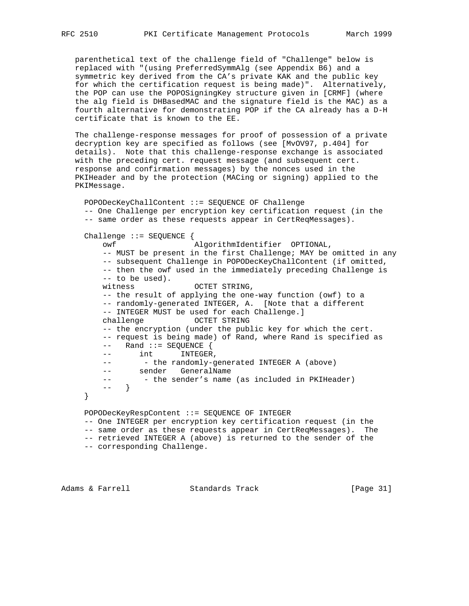parenthetical text of the challenge field of "Challenge" below is replaced with "(using PreferredSymmAlg (see Appendix B6) and a symmetric key derived from the CA's private KAK and the public key for which the certification request is being made)". Alternatively, the POP can use the POPOSigningKey structure given in [CRMF] (where the alg field is DHBasedMAC and the signature field is the MAC) as a fourth alternative for demonstrating POP if the CA already has a D-H certificate that is known to the EE.

 The challenge-response messages for proof of possession of a private decryption key are specified as follows (see [MvOV97, p.404] for details). Note that this challenge-response exchange is associated with the preceding cert. request message (and subsequent cert. response and confirmation messages) by the nonces used in the PKIHeader and by the protection (MACing or signing) applied to the PKIMessage.

```
 POPODecKeyChallContent ::= SEQUENCE OF Challenge
 -- One Challenge per encryption key certification request (in the
 -- same order as these requests appear in CertReqMessages).
 Challenge ::= SEQUENCE {
     owf AlgorithmIdentifier OPTIONAL,
     -- MUST be present in the first Challenge; MAY be omitted in any
     -- subsequent Challenge in POPODecKeyChallContent (if omitted,
     -- then the owf used in the immediately preceding Challenge is
     -- to be used).
    witness OCTET STRING,
     -- the result of applying the one-way function (owf) to a
     -- randomly-generated INTEGER, A. [Note that a different
     -- INTEGER MUST be used for each Challenge.]
    challenge OCTET STRING
     -- the encryption (under the public key for which the cert.
     -- request is being made) of Rand, where Rand is specified as
     -- Rand ::= SEQUENCE {
    \frac{2\pi\sqrt{2}}{1} int INTEGER,
          - the randomly-generated INTEGER A (above)
     -- sender GeneralName
    -- - - the sender's name (as included in PKIHeader)
     -- }
 }
 POPODecKeyRespContent ::= SEQUENCE OF INTEGER
 -- One INTEGER per encryption key certification request (in the
 -- same order as these requests appear in CertReqMessages). The
 -- retrieved INTEGER A (above) is returned to the sender of the
 -- corresponding Challenge.
```
Adams & Farrell **Standards Track** [Page 31]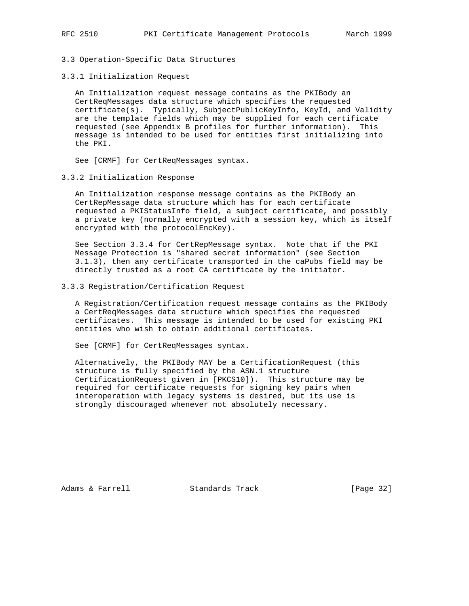- 3.3 Operation-Specific Data Structures
- 3.3.1 Initialization Request

 An Initialization request message contains as the PKIBody an CertReqMessages data structure which specifies the requested certificate(s). Typically, SubjectPublicKeyInfo, KeyId, and Validity are the template fields which may be supplied for each certificate requested (see Appendix B profiles for further information). This message is intended to be used for entities first initializing into the PKI.

See [CRMF] for CertReqMessages syntax.

3.3.2 Initialization Response

 An Initialization response message contains as the PKIBody an CertRepMessage data structure which has for each certificate requested a PKIStatusInfo field, a subject certificate, and possibly a private key (normally encrypted with a session key, which is itself encrypted with the protocolEncKey).

 See Section 3.3.4 for CertRepMessage syntax. Note that if the PKI Message Protection is "shared secret information" (see Section 3.1.3), then any certificate transported in the caPubs field may be directly trusted as a root CA certificate by the initiator.

### 3.3.3 Registration/Certification Request

 A Registration/Certification request message contains as the PKIBody a CertReqMessages data structure which specifies the requested certificates. This message is intended to be used for existing PKI entities who wish to obtain additional certificates.

See [CRMF] for CertReqMessages syntax.

 Alternatively, the PKIBody MAY be a CertificationRequest (this structure is fully specified by the ASN.1 structure CertificationRequest given in [PKCS10]). This structure may be required for certificate requests for signing key pairs when interoperation with legacy systems is desired, but its use is strongly discouraged whenever not absolutely necessary.

Adams & Farrell **Standards Track** [Page 32]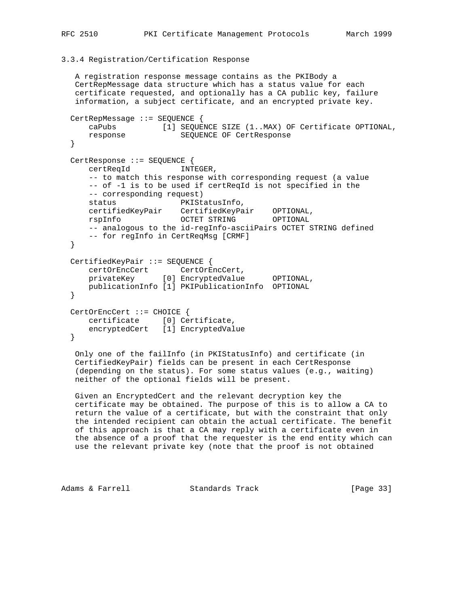## 3.3.4 Registration/Certification Response

```
 A registration response message contains as the PKIBody a
   CertRepMessage data structure which has a status value for each
   certificate requested, and optionally has a CA public key, failure
   information, a subject certificate, and an encrypted private key.
  CertRepMessage ::= SEQUENCE {
      caPubs [1] SEQUENCE SIZE (1..MAX) OF Certificate OPTIONAL,
      response SEQUENCE OF CertResponse
  }
  CertResponse ::= SEQUENCE {
      certReqId INTEGER,
      -- to match this response with corresponding request (a value
      -- of -1 is to be used if certReqId is not specified in the
      -- corresponding request)
     status PKIStatusInfo,
 certifiedKeyPair CertifiedKeyPair OPTIONAL,
 rspInfo OCTET STRING OPTIONAL
     -- analogous to the id-regInfo-asciiPairs OCTET STRING defined
      -- for regInfo in CertReqMsg [CRMF]
  }
  CertifiedKeyPair ::= SEQUENCE {
 certOrEncCert CertOrEncCert,
 privateKey [0] EncryptedValue OPTIONAL,
      publicationInfo [1] PKIPublicationInfo OPTIONAL
  }
  CertOrEncCert ::= CHOICE {
     certificate [0] Certificate,
      encryptedCert [1] EncryptedValue
  }
```
 Only one of the failInfo (in PKIStatusInfo) and certificate (in CertifiedKeyPair) fields can be present in each CertResponse (depending on the status). For some status values (e.g., waiting) neither of the optional fields will be present.

 Given an EncryptedCert and the relevant decryption key the certificate may be obtained. The purpose of this is to allow a CA to return the value of a certificate, but with the constraint that only the intended recipient can obtain the actual certificate. The benefit of this approach is that a CA may reply with a certificate even in the absence of a proof that the requester is the end entity which can use the relevant private key (note that the proof is not obtained

Adams & Farrell **Standards Track** [Page 33]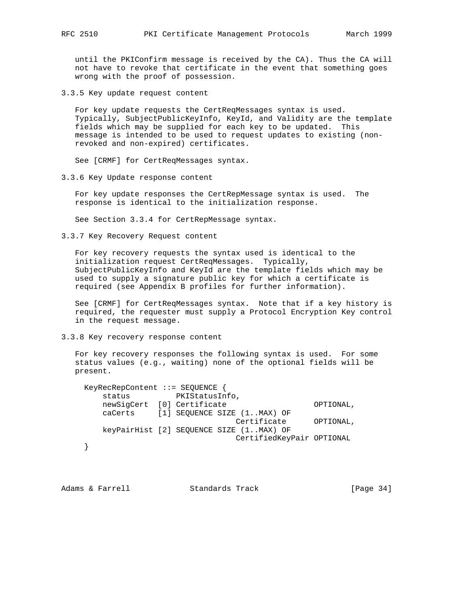until the PKIConfirm message is received by the CA). Thus the CA will not have to revoke that certificate in the event that something goes wrong with the proof of possession.

3.3.5 Key update request content

 For key update requests the CertReqMessages syntax is used. Typically, SubjectPublicKeyInfo, KeyId, and Validity are the template fields which may be supplied for each key to be updated. This message is intended to be used to request updates to existing (non revoked and non-expired) certificates.

See [CRMF] for CertReqMessages syntax.

3.3.6 Key Update response content

 For key update responses the CertRepMessage syntax is used. The response is identical to the initialization response.

See Section 3.3.4 for CertRepMessage syntax.

3.3.7 Key Recovery Request content

 For key recovery requests the syntax used is identical to the initialization request CertReqMessages. Typically, SubjectPublicKeyInfo and KeyId are the template fields which may be used to supply a signature public key for which a certificate is required (see Appendix B profiles for further information).

 See [CRMF] for CertReqMessages syntax. Note that if a key history is required, the requester must supply a Protocol Encryption Key control in the request message.

3.3.8 Key recovery response content

 For key recovery responses the following syntax is used. For some status values (e.g., waiting) none of the optional fields will be present.

```
 KeyRecRepContent ::= SEQUENCE {
    status PKIStatusInfo,
   newSigCert [0] Certificate 		 OPTIONAL,
    caCerts [1] SEQUENCE SIZE (1..MAX) OF
                              Certificate OPTIONAL,
    keyPairHist [2] SEQUENCE SIZE (1..MAX) OF
                              CertifiedKeyPair OPTIONAL
 }
```
Adams & Farrell Standards Track [Page 34]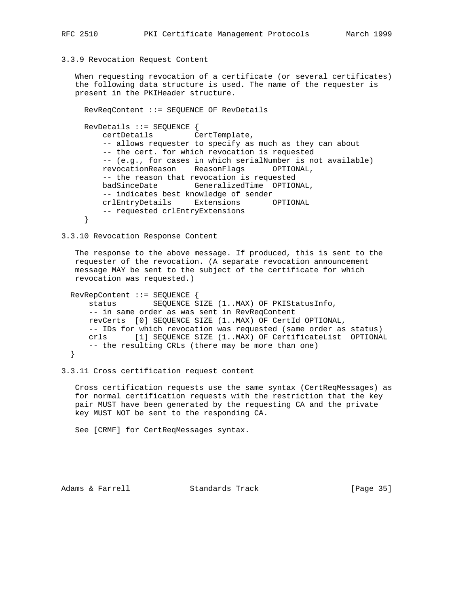## 3.3.9 Revocation Request Content

 When requesting revocation of a certificate (or several certificates) the following data structure is used. The name of the requester is present in the PKIHeader structure.

```
 RevReqContent ::= SEQUENCE OF RevDetails
 RevDetails ::= SEQUENCE {
    certDetails CertTemplate,
    -- allows requester to specify as much as they can about
    -- the cert. for which revocation is requested
    -- (e.g., for cases in which serialNumber is not available)
    revocationReason ReasonFlags OPTIONAL,
     -- the reason that revocation is requested
    badSinceDate GeneralizedTime OPTIONAL,
    -- indicates best knowledge of sender
    crlEntryDetails Extensions OPTIONAL
    -- requested crlEntryExtensions
 }
```
3.3.10 Revocation Response Content

 The response to the above message. If produced, this is sent to the requester of the revocation. (A separate revocation announcement message MAY be sent to the subject of the certificate for which revocation was requested.)

```
 RevRepContent ::= SEQUENCE {
    status SEQUENCE SIZE (1..MAX) OF PKIStatusInfo,
    -- in same order as was sent in RevReqContent
    revCerts [0] SEQUENCE SIZE (1..MAX) OF CertId OPTIONAL,
    -- IDs for which revocation was requested (same order as status)
    crls [1] SEQUENCE SIZE (1..MAX) OF CertificateList OPTIONAL
    -- the resulting CRLs (there may be more than one)
 }
```

```
3.3.11 Cross certification request content
```
 Cross certification requests use the same syntax (CertReqMessages) as for normal certification requests with the restriction that the key pair MUST have been generated by the requesting CA and the private key MUST NOT be sent to the responding CA.

See [CRMF] for CertReqMessages syntax.

Adams & Farrell **Standards Track** [Page 35]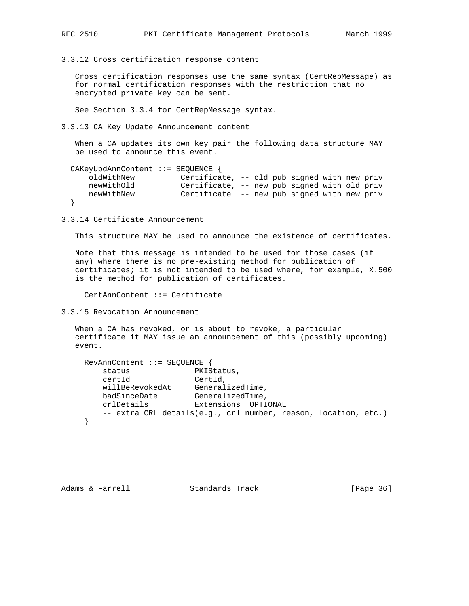3.3.12 Cross certification response content

 Cross certification responses use the same syntax (CertRepMessage) as for normal certification responses with the restriction that no encrypted private key can be sent.

See Section 3.3.4 for CertRepMessage syntax.

3.3.13 CA Key Update Announcement content

 When a CA updates its own key pair the following data structure MAY be used to announce this event.

```
 CAKeyUpdAnnContent ::= SEQUENCE {
                             Certificate, -- old pub signed with new priv
    newWithOld Certificate, -- new pub signed with old priv<br>newWithNew Certificate -- new pub signed with new priv
                             Certificate -- new pub signed with new priv
 }
```
3.3.14 Certificate Announcement

This structure MAY be used to announce the existence of certificates.

 Note that this message is intended to be used for those cases (if any) where there is no pre-existing method for publication of certificates; it is not intended to be used where, for example, X.500 is the method for publication of certificates.

CertAnnContent ::= Certificate

3.3.15 Revocation Announcement

 When a CA has revoked, or is about to revoke, a particular certificate it MAY issue an announcement of this (possibly upcoming) event.

```
 RevAnnContent ::= SEQUENCE {
      status PKIStatus,
 certId CertId,
willBeRevokedAt GeneralizedTime,
badSinceDate GeneralizedTime,
 crlDetails Extensions OPTIONAL
       -- extra CRL details(e.g., crl number, reason, location, etc.)
    }
```

```
Adams & Farrell Standards Track [Page 36]
```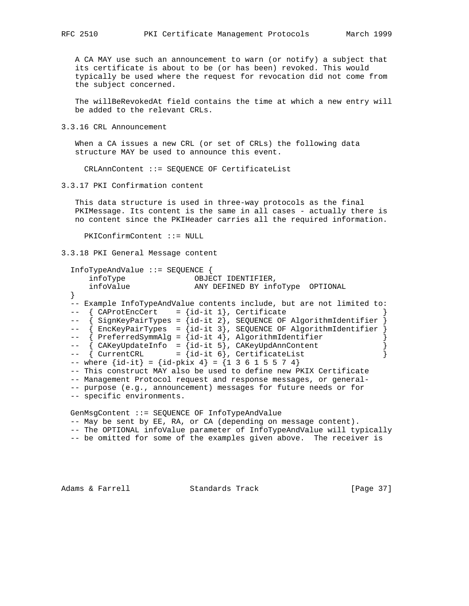A CA MAY use such an announcement to warn (or notify) a subject that its certificate is about to be (or has been) revoked. This would typically be used where the request for revocation did not come from the subject concerned.

 The willBeRevokedAt field contains the time at which a new entry will be added to the relevant CRLs.

3.3.16 CRL Announcement

 When a CA issues a new CRL (or set of CRLs) the following data structure MAY be used to announce this event.

CRLAnnContent ::= SEQUENCE OF CertificateList

3.3.17 PKI Confirmation content

 This data structure is used in three-way protocols as the final PKIMessage. Its content is the same in all cases - actually there is no content since the PKIHeader carries all the required information.

PKIConfirmContent ::= NULL

3.3.18 PKI General Message content

```
 InfoTypeAndValue ::= SEQUENCE {
 infoType OBJECT IDENTIFIER,
 infoValue ANY DEFINED BY infoType OPTIONAL
  }
  -- Example InfoTypeAndValue contents include, but are not limited to:
 -- \{ CAProtEncoder = \{id-it 1\}, Certificate
 -- { SignKeyPairTypes = {id-it 2}, SEQUENCE OF AlgorithmIdentifier }
  -- { EncKeyPairTypes = {id-it 3}, SEQUENCE OF AlgorithmIdentifier }
 -- { PreferredSymmAlg = {id-it 4}, AlgorithmIdentifier }<br>-- { CAKeyUpdateInfo = {id-it 5}, CAKeyUpdAnnContent }
-- { CAKeyUpdateInfo = {id-it 5}, CAKeyUpdAnnContent }
-- { CurrentCRL = {id-it 6}, CertificateList }
 -- where \{id-it\} = \{id-pkix 4\} = \{1 \ 3 \ 6 \ 1 \ 5 \ 5 \ 7 \ 4\} -- This construct MAY also be used to define new PKIX Certificate
  -- Management Protocol request and response messages, or general-
  -- purpose (e.g., announcement) messages for future needs or for
  -- specific environments.
  GenMsgContent ::= SEQUENCE OF InfoTypeAndValue
  -- May be sent by EE, RA, or CA (depending on message content).
  -- The OPTIONAL infoValue parameter of InfoTypeAndValue will typically
  -- be omitted for some of the examples given above. The receiver is
```
Adams & Farrell **Standards Track** [Page 37]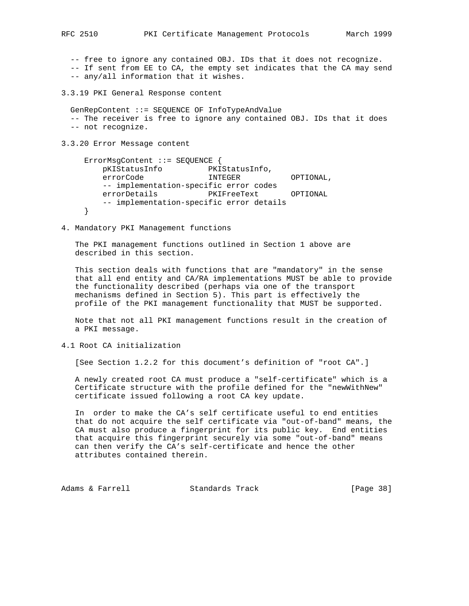-- free to ignore any contained OBJ. IDs that it does not recognize.

- -- If sent from EE to CA, the empty set indicates that the CA may send
- -- any/all information that it wishes.

3.3.19 PKI General Response content

 GenRepContent ::= SEQUENCE OF InfoTypeAndValue -- The receiver is free to ignore any contained OBJ. IDs that it does -- not recognize.

3.3.20 Error Message content

 ErrorMsgContent ::= SEQUENCE { pKIStatusInfo PKIStatusInfo, errorCode INTEGER OPTIONAL, -- implementation-specific error codes errorDetails PKIFreeText OPTIONAL -- implementation-specific error details }

4. Mandatory PKI Management functions

 The PKI management functions outlined in Section 1 above are described in this section.

 This section deals with functions that are "mandatory" in the sense that all end entity and CA/RA implementations MUST be able to provide the functionality described (perhaps via one of the transport mechanisms defined in Section 5). This part is effectively the profile of the PKI management functionality that MUST be supported.

 Note that not all PKI management functions result in the creation of a PKI message.

4.1 Root CA initialization

[See Section 1.2.2 for this document's definition of "root CA".]

 A newly created root CA must produce a "self-certificate" which is a Certificate structure with the profile defined for the "newWithNew" certificate issued following a root CA key update.

 In order to make the CA's self certificate useful to end entities that do not acquire the self certificate via "out-of-band" means, the CA must also produce a fingerprint for its public key. End entities that acquire this fingerprint securely via some "out-of-band" means can then verify the CA's self-certificate and hence the other attributes contained therein.

Adams & Farrell **Standards Track** [Page 38]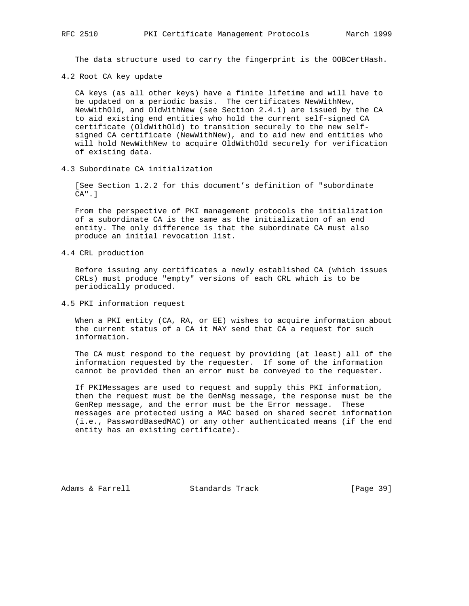The data structure used to carry the fingerprint is the OOBCertHash.

4.2 Root CA key update

 CA keys (as all other keys) have a finite lifetime and will have to be updated on a periodic basis. The certificates NewWithNew, NewWithOld, and OldWithNew (see Section 2.4.1) are issued by the CA to aid existing end entities who hold the current self-signed CA certificate (OldWithOld) to transition securely to the new self signed CA certificate (NewWithNew), and to aid new end entities who will hold NewWithNew to acquire OldWithOld securely for verification of existing data.

4.3 Subordinate CA initialization

 [See Section 1.2.2 for this document's definition of "subordinate CA".]

 From the perspective of PKI management protocols the initialization of a subordinate CA is the same as the initialization of an end entity. The only difference is that the subordinate CA must also produce an initial revocation list.

4.4 CRL production

 Before issuing any certificates a newly established CA (which issues CRLs) must produce "empty" versions of each CRL which is to be periodically produced.

4.5 PKI information request

 When a PKI entity (CA, RA, or EE) wishes to acquire information about the current status of a CA it MAY send that CA a request for such information.

 The CA must respond to the request by providing (at least) all of the information requested by the requester. If some of the information cannot be provided then an error must be conveyed to the requester.

 If PKIMessages are used to request and supply this PKI information, then the request must be the GenMsg message, the response must be the GenRep message, and the error must be the Error message. These messages are protected using a MAC based on shared secret information (i.e., PasswordBasedMAC) or any other authenticated means (if the end entity has an existing certificate).

Adams & Farrell Standards Track [Page 39]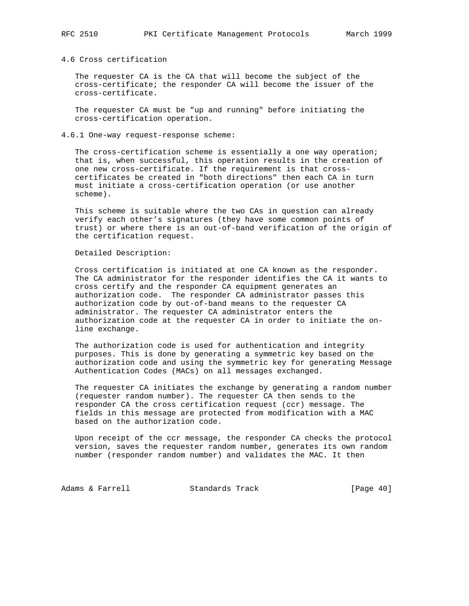## 4.6 Cross certification

 The requester CA is the CA that will become the subject of the cross-certificate; the responder CA will become the issuer of the cross-certificate.

 The requester CA must be "up and running" before initiating the cross-certification operation.

### 4.6.1 One-way request-response scheme:

 The cross-certification scheme is essentially a one way operation; that is, when successful, this operation results in the creation of one new cross-certificate. If the requirement is that cross certificates be created in "both directions" then each CA in turn must initiate a cross-certification operation (or use another scheme).

 This scheme is suitable where the two CAs in question can already verify each other's signatures (they have some common points of trust) or where there is an out-of-band verification of the origin of the certification request.

#### Detailed Description:

 Cross certification is initiated at one CA known as the responder. The CA administrator for the responder identifies the CA it wants to cross certify and the responder CA equipment generates an authorization code. The responder CA administrator passes this authorization code by out-of-band means to the requester CA administrator. The requester CA administrator enters the authorization code at the requester CA in order to initiate the on line exchange.

 The authorization code is used for authentication and integrity purposes. This is done by generating a symmetric key based on the authorization code and using the symmetric key for generating Message Authentication Codes (MACs) on all messages exchanged.

 The requester CA initiates the exchange by generating a random number (requester random number). The requester CA then sends to the responder CA the cross certification request (ccr) message. The fields in this message are protected from modification with a MAC based on the authorization code.

 Upon receipt of the ccr message, the responder CA checks the protocol version, saves the requester random number, generates its own random number (responder random number) and validates the MAC. It then

Adams & Farrell **Standards Track** [Page 40]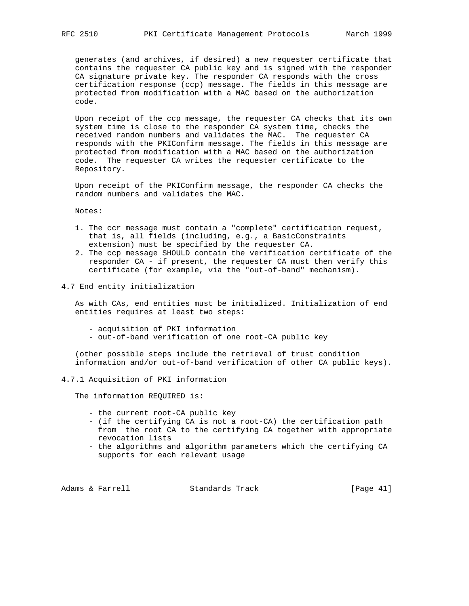generates (and archives, if desired) a new requester certificate that contains the requester CA public key and is signed with the responder CA signature private key. The responder CA responds with the cross certification response (ccp) message. The fields in this message are protected from modification with a MAC based on the authorization code.

 Upon receipt of the ccp message, the requester CA checks that its own system time is close to the responder CA system time, checks the received random numbers and validates the MAC. The requester CA responds with the PKIConfirm message. The fields in this message are protected from modification with a MAC based on the authorization code. The requester CA writes the requester certificate to the Repository.

 Upon receipt of the PKIConfirm message, the responder CA checks the random numbers and validates the MAC.

Notes:

- 1. The ccr message must contain a "complete" certification request, that is, all fields (including, e.g., a BasicConstraints extension) must be specified by the requester CA.
- 2. The ccp message SHOULD contain the verification certificate of the responder CA - if present, the requester CA must then verify this certificate (for example, via the "out-of-band" mechanism).
- 4.7 End entity initialization

 As with CAs, end entities must be initialized. Initialization of end entities requires at least two steps:

- acquisition of PKI information
- out-of-band verification of one root-CA public key

 (other possible steps include the retrieval of trust condition information and/or out-of-band verification of other CA public keys).

4.7.1 Acquisition of PKI information

The information REQUIRED is:

- the current root-CA public key
- (if the certifying CA is not a root-CA) the certification path from the root CA to the certifying CA together with appropriate revocation lists
- the algorithms and algorithm parameters which the certifying CA supports for each relevant usage

Adams & Farrell Standards Track [Page 41]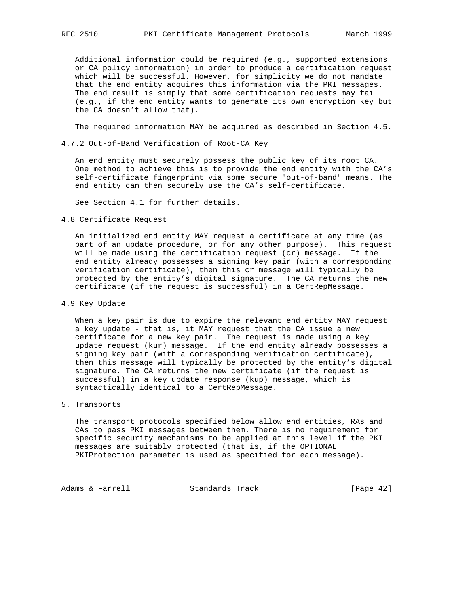Additional information could be required (e.g., supported extensions or CA policy information) in order to produce a certification request which will be successful. However, for simplicity we do not mandate that the end entity acquires this information via the PKI messages. The end result is simply that some certification requests may fail (e.g., if the end entity wants to generate its own encryption key but the CA doesn't allow that).

The required information MAY be acquired as described in Section 4.5.

4.7.2 Out-of-Band Verification of Root-CA Key

 An end entity must securely possess the public key of its root CA. One method to achieve this is to provide the end entity with the CA's self-certificate fingerprint via some secure "out-of-band" means. The end entity can then securely use the CA's self-certificate.

See Section 4.1 for further details.

4.8 Certificate Request

 An initialized end entity MAY request a certificate at any time (as part of an update procedure, or for any other purpose). This request will be made using the certification request (cr) message. If the end entity already possesses a signing key pair (with a corresponding verification certificate), then this cr message will typically be protected by the entity's digital signature. The CA returns the new certificate (if the request is successful) in a CertRepMessage.

4.9 Key Update

 When a key pair is due to expire the relevant end entity MAY request a key update - that is, it MAY request that the CA issue a new certificate for a new key pair. The request is made using a key update request (kur) message. If the end entity already possesses a signing key pair (with a corresponding verification certificate), then this message will typically be protected by the entity's digital signature. The CA returns the new certificate (if the request is successful) in a key update response (kup) message, which is syntactically identical to a CertRepMessage.

5. Transports

 The transport protocols specified below allow end entities, RAs and CAs to pass PKI messages between them. There is no requirement for specific security mechanisms to be applied at this level if the PKI messages are suitably protected (that is, if the OPTIONAL PKIProtection parameter is used as specified for each message).

Adams & Farrell Standards Track [Page 42]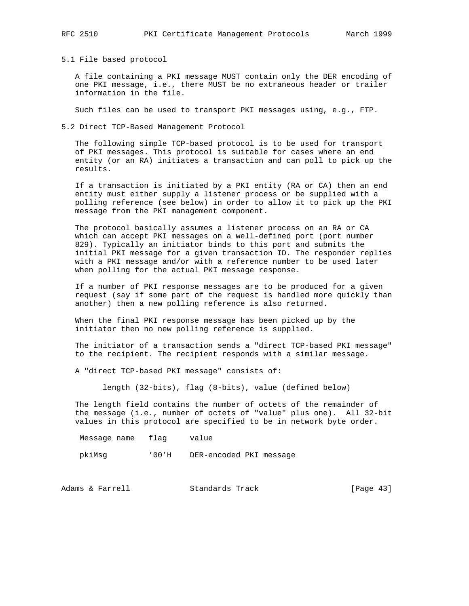5.1 File based protocol

 A file containing a PKI message MUST contain only the DER encoding of one PKI message, i.e., there MUST be no extraneous header or trailer information in the file.

Such files can be used to transport PKI messages using, e.g., FTP.

5.2 Direct TCP-Based Management Protocol

 The following simple TCP-based protocol is to be used for transport of PKI messages. This protocol is suitable for cases where an end entity (or an RA) initiates a transaction and can poll to pick up the results.

 If a transaction is initiated by a PKI entity (RA or CA) then an end entity must either supply a listener process or be supplied with a polling reference (see below) in order to allow it to pick up the PKI message from the PKI management component.

 The protocol basically assumes a listener process on an RA or CA which can accept PKI messages on a well-defined port (port number 829). Typically an initiator binds to this port and submits the initial PKI message for a given transaction ID. The responder replies with a PKI message and/or with a reference number to be used later when polling for the actual PKI message response.

 If a number of PKI response messages are to be produced for a given request (say if some part of the request is handled more quickly than another) then a new polling reference is also returned.

 When the final PKI response message has been picked up by the initiator then no new polling reference is supplied.

 The initiator of a transaction sends a "direct TCP-based PKI message" to the recipient. The recipient responds with a similar message.

A "direct TCP-based PKI message" consists of:

length (32-bits), flag (8-bits), value (defined below)

 The length field contains the number of octets of the remainder of the message (i.e., number of octets of "value" plus one). All 32-bit values in this protocol are specified to be in network byte order.

Message name flag value

pkiMsg '00'H DER-encoded PKI message

Adams & Farrell Standards Track [Page 43]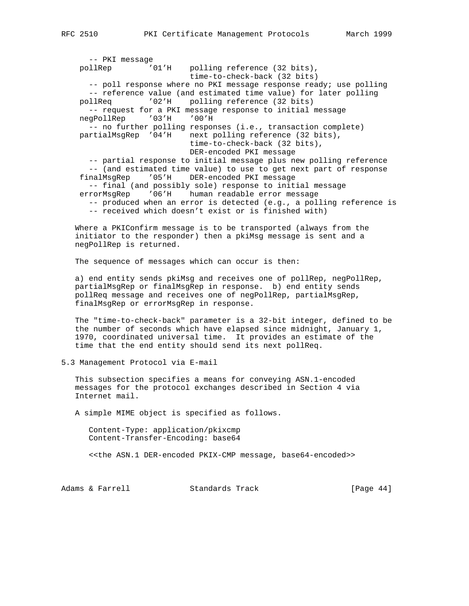-- PKI message pollRep '01'H polling reference (32 bits), time-to-check-back (32 bits) -- poll response where no PKI message response ready; use polling -- reference value (and estimated time value) for later polling pollReq '02'H polling reference (32 bits) -- request for a PKI message response to initial message negPollRep '03'H '00'H -- no further polling responses (i.e., transaction complete) partialMsgRep '04'H next polling reference (32 bits), time-to-check-back (32 bits), DER-encoded PKI message -- partial response to initial message plus new polling reference -- (and estimated time value) to use to get next part of response finalMsgRep '05'H DER-encoded PKI message -- final (and possibly sole) response to initial message errorMsgRep '06'H human readable error message -- produced when an error is detected (e.g., a polling reference is -- received which doesn't exist or is finished with)

 Where a PKIConfirm message is to be transported (always from the initiator to the responder) then a pkiMsg message is sent and a negPollRep is returned.

The sequence of messages which can occur is then:

 a) end entity sends pkiMsg and receives one of pollRep, negPollRep, partialMsgRep or finalMsgRep in response. b) end entity sends pollReq message and receives one of negPollRep, partialMsgRep, finalMsgRep or errorMsgRep in response.

 The "time-to-check-back" parameter is a 32-bit integer, defined to be the number of seconds which have elapsed since midnight, January 1, 1970, coordinated universal time. It provides an estimate of the time that the end entity should send its next pollReq.

5.3 Management Protocol via E-mail

 This subsection specifies a means for conveying ASN.1-encoded messages for the protocol exchanges described in Section 4 via Internet mail.

A simple MIME object is specified as follows.

 Content-Type: application/pkixcmp Content-Transfer-Encoding: base64

<<the ASN.1 DER-encoded PKIX-CMP message, base64-encoded>>

Adams & Farrell **Standards Track** [Page 44]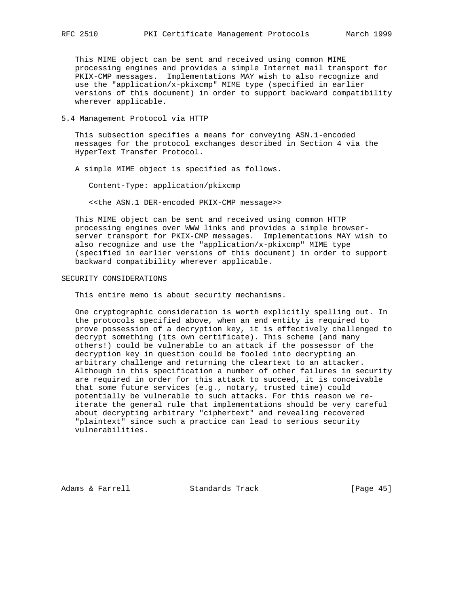This MIME object can be sent and received using common MIME processing engines and provides a simple Internet mail transport for PKIX-CMP messages. Implementations MAY wish to also recognize and use the "application/x-pkixcmp" MIME type (specified in earlier versions of this document) in order to support backward compatibility wherever applicable.

5.4 Management Protocol via HTTP

 This subsection specifies a means for conveying ASN.1-encoded messages for the protocol exchanges described in Section 4 via the HyperText Transfer Protocol.

A simple MIME object is specified as follows.

Content-Type: application/pkixcmp

<<the ASN.1 DER-encoded PKIX-CMP message>>

 This MIME object can be sent and received using common HTTP processing engines over WWW links and provides a simple browser server transport for PKIX-CMP messages. Implementations MAY wish to also recognize and use the "application/x-pkixcmp" MIME type (specified in earlier versions of this document) in order to support backward compatibility wherever applicable.

#### SECURITY CONSIDERATIONS

This entire memo is about security mechanisms.

 One cryptographic consideration is worth explicitly spelling out. In the protocols specified above, when an end entity is required to prove possession of a decryption key, it is effectively challenged to decrypt something (its own certificate). This scheme (and many others!) could be vulnerable to an attack if the possessor of the decryption key in question could be fooled into decrypting an arbitrary challenge and returning the cleartext to an attacker. Although in this specification a number of other failures in security are required in order for this attack to succeed, it is conceivable that some future services (e.g., notary, trusted time) could potentially be vulnerable to such attacks. For this reason we re iterate the general rule that implementations should be very careful about decrypting arbitrary "ciphertext" and revealing recovered "plaintext" since such a practice can lead to serious security vulnerabilities.

Adams & Farrell **Standards Track** [Page 45]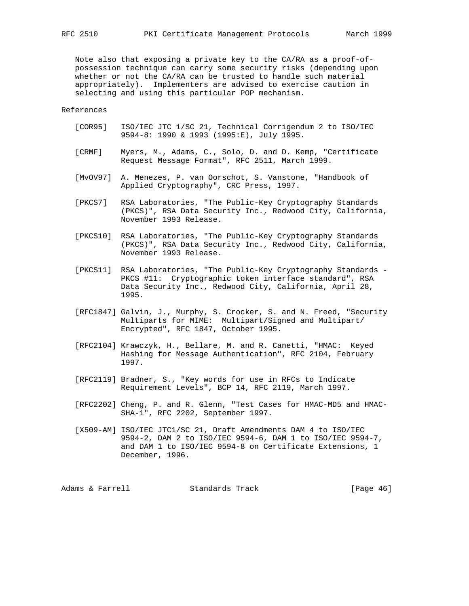Note also that exposing a private key to the CA/RA as a proof-of possession technique can carry some security risks (depending upon whether or not the CA/RA can be trusted to handle such material appropriately). Implementers are advised to exercise caution in selecting and using this particular POP mechanism.

## References

- [COR95] ISO/IEC JTC 1/SC 21, Technical Corrigendum 2 to ISO/IEC 9594-8: 1990 & 1993 (1995:E), July 1995.
- [CRMF] Myers, M., Adams, C., Solo, D. and D. Kemp, "Certificate Request Message Format", RFC 2511, March 1999.
- [MvOV97] A. Menezes, P. van Oorschot, S. Vanstone, "Handbook of Applied Cryptography", CRC Press, 1997.
- [PKCS7] RSA Laboratories, "The Public-Key Cryptography Standards (PKCS)", RSA Data Security Inc., Redwood City, California, November 1993 Release.
- [PKCS10] RSA Laboratories, "The Public-Key Cryptography Standards (PKCS)", RSA Data Security Inc., Redwood City, California, November 1993 Release.
- [PKCS11] RSA Laboratories, "The Public-Key Cryptography Standards PKCS #11: Cryptographic token interface standard", RSA Data Security Inc., Redwood City, California, April 28, 1995.
- [RFC1847] Galvin, J., Murphy, S. Crocker, S. and N. Freed, "Security Multiparts for MIME: Multipart/Signed and Multipart/ Encrypted", RFC 1847, October 1995.
- [RFC2104] Krawczyk, H., Bellare, M. and R. Canetti, "HMAC: Keyed Hashing for Message Authentication", RFC 2104, February 1997.
- [RFC2119] Bradner, S., "Key words for use in RFCs to Indicate Requirement Levels", BCP 14, RFC 2119, March 1997.
- [RFC2202] Cheng, P. and R. Glenn, "Test Cases for HMAC-MD5 and HMAC- SHA-1", RFC 2202, September 1997.
- [X509-AM] ISO/IEC JTC1/SC 21, Draft Amendments DAM 4 to ISO/IEC 9594-2, DAM 2 to ISO/IEC 9594-6, DAM 1 to ISO/IEC 9594-7, and DAM 1 to ISO/IEC 9594-8 on Certificate Extensions, 1 December, 1996.

Adams & Farrell Standards Track [Page 46]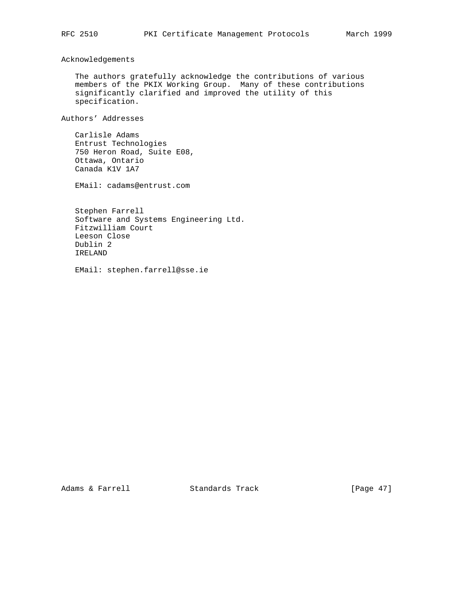Acknowledgements

 The authors gratefully acknowledge the contributions of various members of the PKIX Working Group. Many of these contributions significantly clarified and improved the utility of this specification.

Authors' Addresses

 Carlisle Adams Entrust Technologies 750 Heron Road, Suite E08, Ottawa, Ontario Canada K1V 1A7

EMail: cadams@entrust.com

 Stephen Farrell Software and Systems Engineering Ltd. Fitzwilliam Court Leeson Close Dublin 2 IRELAND

EMail: stephen.farrell@sse.ie

Adams & Farrell Standards Track [Page 47]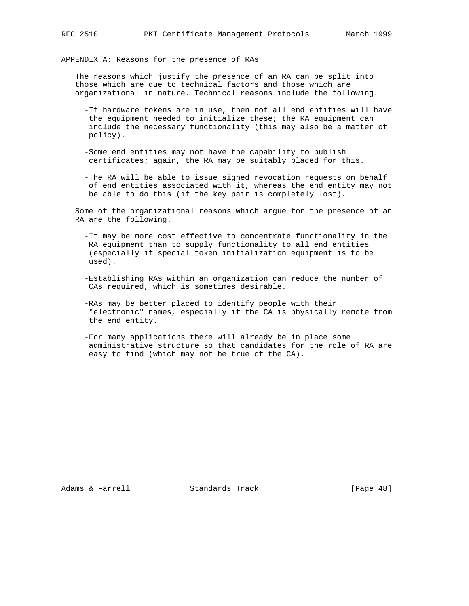APPENDIX A: Reasons for the presence of RAs

 The reasons which justify the presence of an RA can be split into those which are due to technical factors and those which are organizational in nature. Technical reasons include the following.

- -If hardware tokens are in use, then not all end entities will have the equipment needed to initialize these; the RA equipment can include the necessary functionality (this may also be a matter of policy).
- -Some end entities may not have the capability to publish certificates; again, the RA may be suitably placed for this.
- -The RA will be able to issue signed revocation requests on behalf of end entities associated with it, whereas the end entity may not be able to do this (if the key pair is completely lost).

 Some of the organizational reasons which argue for the presence of an RA are the following.

- -It may be more cost effective to concentrate functionality in the RA equipment than to supply functionality to all end entities (especially if special token initialization equipment is to be used).
- -Establishing RAs within an organization can reduce the number of CAs required, which is sometimes desirable.
- -RAs may be better placed to identify people with their "electronic" names, especially if the CA is physically remote from the end entity.
- -For many applications there will already be in place some administrative structure so that candidates for the role of RA are easy to find (which may not be true of the CA).

Adams & Farrell **Standards Track** [Page 48]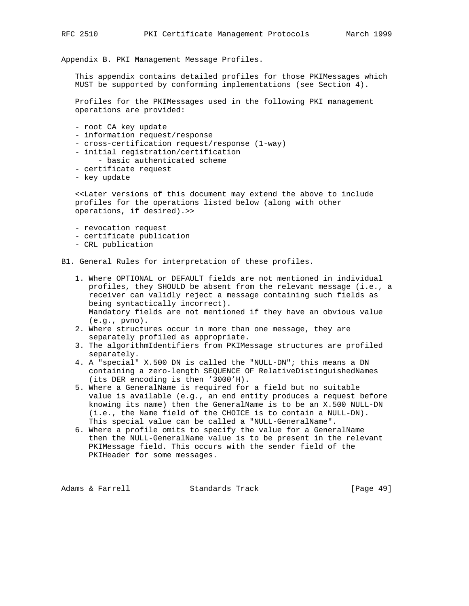Appendix B. PKI Management Message Profiles.

 This appendix contains detailed profiles for those PKIMessages which MUST be supported by conforming implementations (see Section 4).

 Profiles for the PKIMessages used in the following PKI management operations are provided:

- root CA key update
- information request/response
- cross-certification request/response (1-way)
- initial registration/certification
	- basic authenticated scheme
- certificate request
- key update

 <<Later versions of this document may extend the above to include profiles for the operations listed below (along with other operations, if desired).>>

- revocation request
- certificate publication
- CRL publication

B1. General Rules for interpretation of these profiles.

- 1. Where OPTIONAL or DEFAULT fields are not mentioned in individual profiles, they SHOULD be absent from the relevant message (i.e., a receiver can validly reject a message containing such fields as being syntactically incorrect). Mandatory fields are not mentioned if they have an obvious value (e.g., pvno).
- 2. Where structures occur in more than one message, they are separately profiled as appropriate.
- 3. The algorithmIdentifiers from PKIMessage structures are profiled separately.
- 4. A "special" X.500 DN is called the "NULL-DN"; this means a DN containing a zero-length SEQUENCE OF RelativeDistinguishedNames (its DER encoding is then '3000'H).
- 5. Where a GeneralName is required for a field but no suitable value is available (e.g., an end entity produces a request before knowing its name) then the GeneralName is to be an X.500 NULL-DN (i.e., the Name field of the CHOICE is to contain a NULL-DN). This special value can be called a "NULL-GeneralName".
- 6. Where a profile omits to specify the value for a GeneralName then the NULL-GeneralName value is to be present in the relevant PKIMessage field. This occurs with the sender field of the PKIHeader for some messages.

Adams & Farrell Standards Track [Page 49]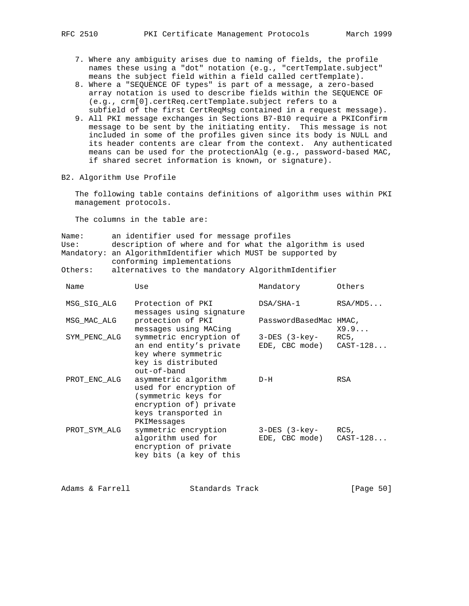- 7. Where any ambiguity arises due to naming of fields, the profile names these using a "dot" notation (e.g., "certTemplate.subject" means the subject field within a field called certTemplate).
- 8. Where a "SEQUENCE OF types" is part of a message, a zero-based array notation is used to describe fields within the SEQUENCE OF (e.g., crm[0].certReq.certTemplate.subject refers to a subfield of the first CertReqMsg contained in a request message).
- 9. All PKI message exchanges in Sections B7-B10 require a PKIConfirm message to be sent by the initiating entity. This message is not included in some of the profiles given since its body is NULL and its header contents are clear from the context. Any authenticated means can be used for the protectionAlg (e.g., password-based MAC, if shared secret information is known, or signature).
- B2. Algorithm Use Profile

 The following table contains definitions of algorithm uses within PKI management protocols.

The columns in the table are:

| Name: | an identifier used for message profiles                      |  |  |  |  |
|-------|--------------------------------------------------------------|--|--|--|--|
| Use:  | description of where and for what the algorithm is used      |  |  |  |  |
|       | Mandatory: an AlgorithmIdentifier which MUST be supported by |  |  |  |  |
|       | conforming implementations                                   |  |  |  |  |

Others: alternatives to the mandatory AlgorithmIdentifier

| Name         | Use                                                                                                                                   | Mandatory                                     | Others  |
|--------------|---------------------------------------------------------------------------------------------------------------------------------------|-----------------------------------------------|---------|
| MSG SIG ALG  | Protection of PKI<br>messages using signature                                                                                         | DSA/SHA-1                                     | RSA/MD5 |
| MSG MAC ALG  | protection of PKI<br>messages using MACing                                                                                            | PasswordBasedMac HMAC,                        | X9.9    |
| SYM PENC ALG | symmetric encryption of<br>an end entity's private<br>key where symmetric<br>key is distributed<br>out-of-band                        | 3-DES (3-key-<br>$EDE$ , CBC mode) $CAST-128$ | RC5,    |
| PROT ENC ALG | asymmetric algorithm<br>used for encryption of<br>(symmetric keys for<br>encryption of) private<br>keys transported in<br>PKIMessages | D-H                                           | RSA     |
| PROT SYM ALG | symmetric encryption<br>algorithm used for<br>encryption of private<br>key bits (a key of this                                        | 3-DES (3-key-<br>$EDE$ , CBC mode) $CAST-128$ | RC5,    |

Adams & Farrell **Standards Track** [Page 50]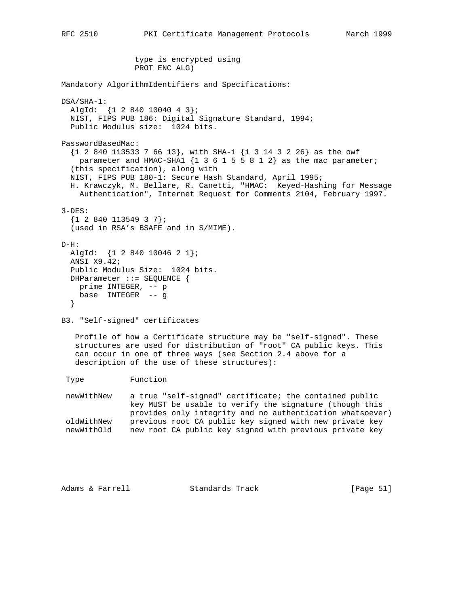type is encrypted using PROT\_ENC\_ALG) Mandatory AlgorithmIdentifiers and Specifications: DSA/SHA-1: AlgId: {1 2 840 10040 4 3}; NIST, FIPS PUB 186: Digital Signature Standard, 1994; Public Modulus size: 1024 bits. PasswordBasedMac: {1 2 840 113533 7 66 13}, with SHA-1 {1 3 14 3 2 26} as the owf parameter and HMAC-SHA1 {1 3 6 1 5 5 8 1 2} as the mac parameter; (this specification), along with NIST, FIPS PUB 180-1: Secure Hash Standard, April 1995; H. Krawczyk, M. Bellare, R. Canetti, "HMAC: Keyed-Hashing for Message Authentication", Internet Request for Comments 2104, February 1997. 3-DES:  ${1 2 840 113549 3 7};$  (used in RSA's BSAFE and in S/MIME).  $D-H$ : AlgId: {1 2 840 10046 2 1}; ANSI X9.42; Public Modulus Size: 1024 bits. DHParameter ::= SEQUENCE { prime INTEGER, -- p base INTEGER -- g } B3. "Self-signed" certificates Profile of how a Certificate structure may be "self-signed". These structures are used for distribution of "root" CA public keys. This can occur in one of three ways (see Section 2.4 above for a description of the use of these structures): Type Function newWithNew a true "self-signed" certificate; the contained public key MUST be usable to verify the signature (though this provides only integrity and no authentication whatsoever) oldWithNew previous root CA public key signed with new private key newWithOld new root CA public key signed with previous private key

Adams & Farrell **Standards Track** [Page 51]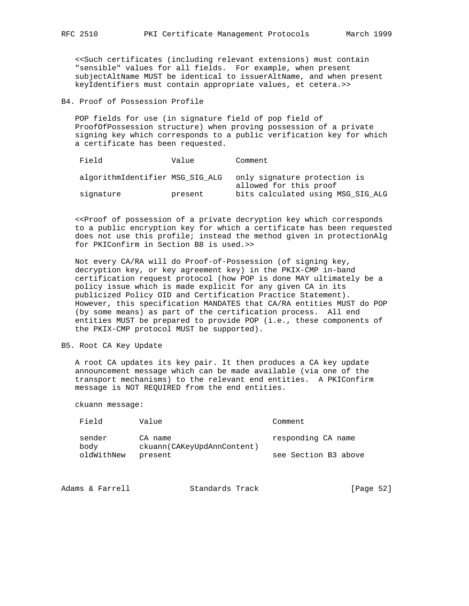<<Such certificates (including relevant extensions) must contain "sensible" values for all fields. For example, when present subjectAltName MUST be identical to issuerAltName, and when present keyIdentifiers must contain appropriate values, et cetera.>>

B4. Proof of Possession Profile

 POP fields for use (in signature field of pop field of ProofOfPossession structure) when proving possession of a private signing key which corresponds to a public verification key for which a certificate has been requested.

| Field                           | Value   | Comment                                                |
|---------------------------------|---------|--------------------------------------------------------|
| algorithmIdentifier MSG SIG ALG |         | only signature protection is<br>allowed for this proof |
| signature                       | present | bits calculated using MSG SIG ALG                      |

 <<Proof of possession of a private decryption key which corresponds to a public encryption key for which a certificate has been requested does not use this profile; instead the method given in protectionAlg for PKIConfirm in Section B8 is used.>>

 Not every CA/RA will do Proof-of-Possession (of signing key, decryption key, or key agreement key) in the PKIX-CMP in-band certification request protocol (how POP is done MAY ultimately be a policy issue which is made explicit for any given CA in its publicized Policy OID and Certification Practice Statement). However, this specification MANDATES that CA/RA entities MUST do POP (by some means) as part of the certification process. All end entities MUST be prepared to provide POP (i.e., these components of the PKIX-CMP protocol MUST be supported).

B5. Root CA Key Update

 A root CA updates its key pair. It then produces a CA key update announcement message which can be made available (via one of the transport mechanisms) to the relevant end entities. A PKIConfirm message is NOT REQUIRED from the end entities.

ckuann message:

| <b>Field</b>   | Value                                 | Comment              |
|----------------|---------------------------------------|----------------------|
| sender<br>body | CA name<br>ckuann(CAKeyUpdAnnContent) | responding CA name   |
| oldWithNew     | present                               | see Section B3 above |

| [Page 52]<br>Adams & Farrell<br>Standards Track |  |
|-------------------------------------------------|--|
|-------------------------------------------------|--|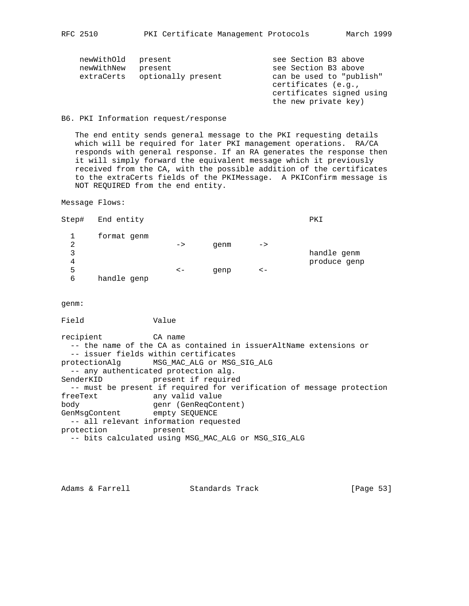| newWithOld<br>newWithNew<br>extraCerts | present<br>present<br>optionally present | see Section B3 above<br>see Section B3 above<br>can be used to "publish"<br>certificates (e.g.,<br>certificates signed using |
|----------------------------------------|------------------------------------------|------------------------------------------------------------------------------------------------------------------------------|
|                                        |                                          | the new private key)                                                                                                         |

#### B6. PKI Information request/response

 The end entity sends general message to the PKI requesting details which will be required for later PKI management operations. RA/CA responds with general response. If an RA generates the response then it will simply forward the equivalent message which it previously received from the CA, with the possible addition of the certificates to the extraCerts fields of the PKIMessage. A PKIConfirm message is NOT REQUIRED from the end entity.

Message Flows:

| Step#          | End entity  |                          |      |               | PKI          |
|----------------|-------------|--------------------------|------|---------------|--------------|
|                | format genm |                          |      |               |              |
| $\overline{2}$ |             | $\rightarrow$            | genm | $\rightarrow$ |              |
| 3              |             |                          |      |               | handle genm  |
| 4              |             |                          |      |               | produce genp |
| 5              |             | $\mathord{<}\mathord{-}$ | qenp | $\lt$ $-$     |              |
| 6              | handle genp |                          |      |               |              |

genm:

Field Value

recipient CA name -- the name of the CA as contained in issuerAltName extensions or -- issuer fields within certificates protectionAlg MSG\_MAC\_ALG or MSG\_SIG\_ALG -- any authenticated protection alg. SenderKID present if required -- must be present if required for verification of message protection freeText any valid value body genr (GenReqContent) GenMsgContent empty SEQUENCE -- all relevant information requested protection present -- bits calculated using MSG\_MAC\_ALG or MSG\_SIG\_ALG

Adams & Farrell **Standards Track** [Page 53]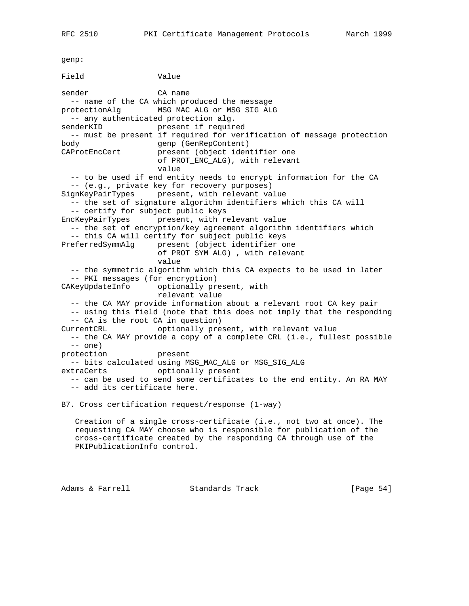genp: Field Value sender CA name -- name of the CA which produced the message protectionAlg MSG\_MAC\_ALG or MSG\_SIG\_ALG -- any authenticated protection alg. senderKID present if required -- must be present if required for verification of message protection body genp (GenRepContent) CAProtEncCert present (object identifier one of PROT ENC ALG), with relevant value -- to be used if end entity needs to encrypt information for the CA -- (e.g., private key for recovery purposes) SignKeyPairTypes present, with relevant value -- the set of signature algorithm identifiers which this CA will -- certify for subject public keys EncKeyPairTypes present, with relevant value -- the set of encryption/key agreement algorithm identifiers which -- this CA will certify for subject public keys PreferredSymmAlg present (object identifier one of PROT\_SYM\_ALG) , with relevant value -- the symmetric algorithm which this CA expects to be used in later -- PKI messages (for encryption) CAKeyUpdateInfo optionally present, with relevant value -- the CA MAY provide information about a relevant root CA key pair -- using this field (note that this does not imply that the responding -- CA is the root CA in question) CurrentCRL optionally present, with relevant value -- the CA MAY provide a copy of a complete CRL (i.e., fullest possible  $--$  one) protection present -- bits calculated using MSG\_MAC\_ALG or MSG\_SIG\_ALG extraCerts optionally present -- can be used to send some certificates to the end entity. An RA MAY -- add its certificate here. B7. Cross certification request/response (1-way) Creation of a single cross-certificate (i.e., not two at once). The requesting CA MAY choose who is responsible for publication of the cross-certificate created by the responding CA through use of the PKIPublicationInfo control.

Adams & Farrell **Standards Track** [Page 54]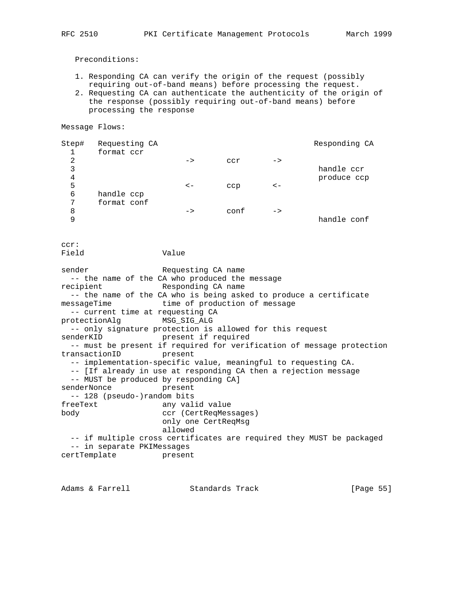Preconditions:

- 1. Responding CA can verify the origin of the request (possibly requiring out-of-band means) before processing the request.
- 2. Requesting CA can authenticate the authenticity of the origin of the response (possibly requiring out-of-band means) before processing the response

Message Flows:

| Step#          | Requesting CA |               |      |               | Responding CA |
|----------------|---------------|---------------|------|---------------|---------------|
|                | format ccr    |               |      |               |               |
| $\overline{2}$ |               | $\rightarrow$ | ccr  | $\rightarrow$ |               |
| 3              |               |               |      |               | handle ccr    |
| 4              |               |               |      |               | produce ccp   |
| 5              |               | $\lt$ $-$     | ccp  | $\lt$ $-$     |               |
| 6              | handle ccp    |               |      |               |               |
| 7              | format conf   |               |      |               |               |
| 8              |               | $\rightarrow$ | conf | $\rightarrow$ |               |
| 9              |               |               |      |               | handle conf   |

ccr:

Field Value

sender Requesting CA name -- the name of the CA who produced the message recipient Responding CA name -- the name of the CA who is being asked to produce a certificate messageTime time of production of message -- current time at requesting CA protectionAlg MSG\_SIG\_ALG -- only signature protection is allowed for this request senderKID **present** if required -- must be present if required for verification of message protection transactionID present -- implementation-specific value, meaningful to requesting CA. -- [If already in use at responding CA then a rejection message -- MUST be produced by responding CA] senderNonce present -- 128 (pseudo-)random bits<br>freeText any val: any valid value body ccr (CertReqMessages) only one CertReqMsg allowed -- if multiple cross certificates are required they MUST be packaged -- in separate PKIMessages certTemplate present

Adams & Farrell **Standards Track** [Page 55]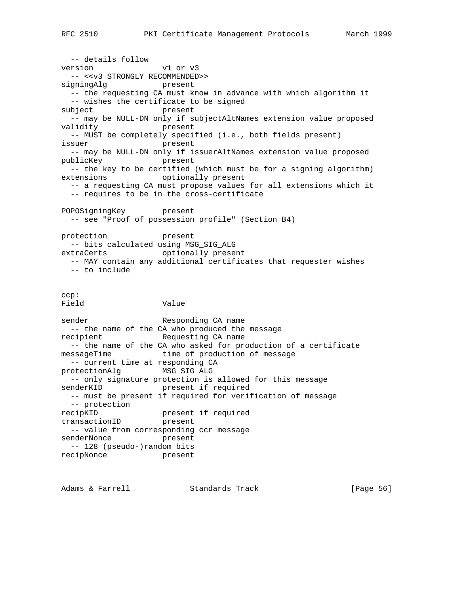-- details follow version v1 or v3 -- <<v3 STRONGLY RECOMMENDED>> signingAlg present -- the requesting CA must know in advance with which algorithm it -- wishes the certificate to be signed subject present -- may be NULL-DN only if subjectAltNames extension value proposed validity present -- MUST be completely specified (i.e., both fields present) issuer present -- may be NULL-DN only if issuerAltNames extension value proposed publicKey present -- the key to be certified (which must be for a signing algorithm) extensions optionally present -- a requesting CA must propose values for all extensions which it -- requires to be in the cross-certificate POPOSigningKey present -- see "Proof of possession profile" (Section B4) protection present -- bits calculated using MSG\_SIG\_ALG extraCerts optionally present -- MAY contain any additional certificates that requester wishes -- to include ccp: Field Value sender Responding CA name -- the name of the CA who produced the message recipient Requesting CA name -- the name of the CA who asked for production of a certificate messageTime **time** of production of message -- current time at responding CA protectionAlg MSG\_SIG\_ALG -- only signature protection is allowed for this message senderKID present if required -- must be present if required for verification of message -- protection recipKID present if required transactionID present -- value from corresponding ccr message senderNonce present -- 128 (pseudo-)random bits recipNonce present

Adams & Farrell **Standards Track** [Page 56]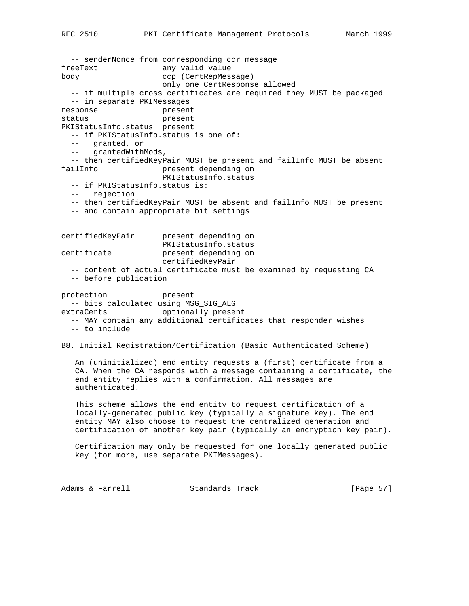-- senderNonce from corresponding ccr message freeText any valid value body ccp (CertRepMessage) only one CertResponse allowed -- if multiple cross certificates are required they MUST be packaged -- in separate PKIMessages response present status present PKIStatusInfo.status present -- if PKIStatusInfo.status is one of: -- granted, or -- grantedWithMods, -- then certifiedKeyPair MUST be present and failInfo MUST be absent failInfo present depending on PKIStatusInfo.status -- if PKIStatusInfo.status is: -- rejection -- then certifiedKeyPair MUST be absent and failInfo MUST be present -- and contain appropriate bit settings certifiedKeyPair present depending on PKIStatusInfo.status certificate present depending on certifiedKeyPair -- content of actual certificate must be examined by requesting CA -- before publication protection present -- bits calculated using MSG\_SIG\_ALG extraCerts optionally present -- MAY contain any additional certificates that responder wishes -- to include B8. Initial Registration/Certification (Basic Authenticated Scheme) An (uninitialized) end entity requests a (first) certificate from a CA. When the CA responds with a message containing a certificate, the end entity replies with a confirmation. All messages are authenticated. This scheme allows the end entity to request certification of a locally-generated public key (typically a signature key). The end entity MAY also choose to request the centralized generation and certification of another key pair (typically an encryption key pair). Certification may only be requested for one locally generated public key (for more, use separate PKIMessages).

Adams & Farrell **Standards Track** [Page 57]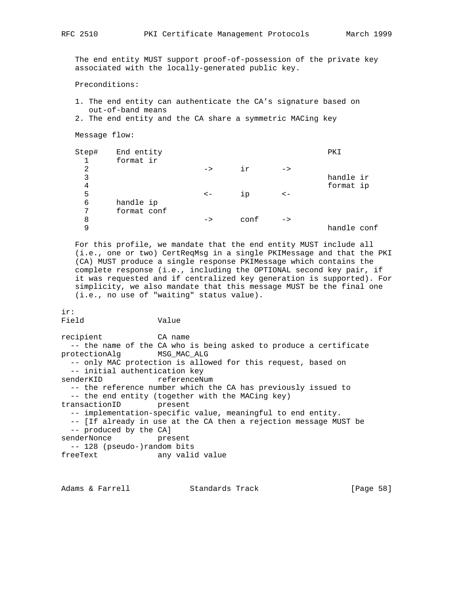The end entity MUST support proof-of-possession of the private key associated with the locally-generated public key.

Preconditions:

 1. The end entity can authenticate the CA's signature based on out-of-band means

```
 2. The end entity and the CA share a symmetric MACing key
```
Message flow:

| Step# | End entity  |               |      |               | PKI         |
|-------|-------------|---------------|------|---------------|-------------|
| 1     | format ir   |               |      |               |             |
| 2     |             | $\rightarrow$ | iγ   | $\rightarrow$ |             |
| 3     |             |               |      |               | handle ir   |
| 4     |             |               |      |               | format ip   |
| 5     |             | $\lt$ $-$     | 1p   | $\lt$ $-$     |             |
| 6     | handle ip   |               |      |               |             |
| 7     | format conf |               |      |               |             |
| 8     |             | $\rightarrow$ | conf | $\rightarrow$ |             |
| 9     |             |               |      |               | handle conf |
|       |             |               |      |               |             |

 For this profile, we mandate that the end entity MUST include all (i.e., one or two) CertReqMsg in a single PKIMessage and that the PKI (CA) MUST produce a single response PKIMessage which contains the complete response (i.e., including the OPTIONAL second key pair, if it was requested and if centralized key generation is supported). For simplicity, we also mandate that this message MUST be the final one (i.e., no use of "waiting" status value).

ir:

Field Value

recipient CA name -- the name of the CA who is being asked to produce a certificate protectionAlg MSG\_MAC\_ALG -- only MAC protection is allowed for this request, based on -- initial authentication key senderKID referenceNum -- the reference number which the CA has previously issued to -- the end entity (together with the MACing key) transactionID present -- implementation-specific value, meaningful to end entity. -- [If already in use at the CA then a rejection message MUST be -- produced by the CA] senderNonce present -- 128 (pseudo-)random bits freeText any valid value

Adams & Farrell **Standards Track** [Page 58]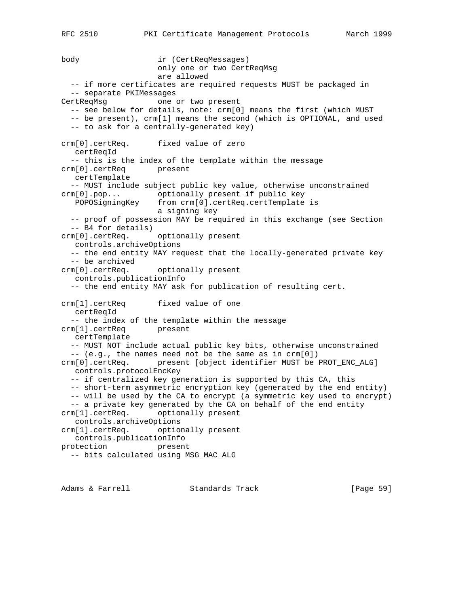RFC 2510 PKI Certificate Management Protocols March 1999

body ir (CertReqMessages) only one or two CertReqMsg are allowed -- if more certificates are required requests MUST be packaged in -- separate PKIMessages CertReqMsg one or two present -- see below for details, note: crm[0] means the first (which MUST -- be present), crm[1] means the second (which is OPTIONAL, and used -- to ask for a centrally-generated key) crm[0].certReq. fixed value of zero certReqId -- this is the index of the template within the message crm[0].certReq present certTemplate -- MUST include subject public key value, otherwise unconstrained crm[0].pop... optionally present if public key POPOSigningKey from crm[0].certReq.certTemplate is a signing key -- proof of possession MAY be required in this exchange (see Section -- B4 for details) crm[0].certReq. optionally present controls.archiveOptions -- the end entity MAY request that the locally-generated private key -- be archived crm[0].certReq. optionally present controls.publicationInfo -- the end entity MAY ask for publication of resulting cert. crm[1].certReq fixed value of one certReqId -- the index of the template within the message crm[1].certReq present certTemplate -- MUST NOT include actual public key bits, otherwise unconstrained -- (e.g., the names need not be the same as in crm[0]) crm[0].certReq. present [object identifier MUST be PROT\_ENC\_ALG] controls.protocolEncKey -- if centralized key generation is supported by this CA, this -- short-term asymmetric encryption key (generated by the end entity) -- will be used by the CA to encrypt (a symmetric key used to encrypt) -- a private key generated by the CA on behalf of the end entity crm[1].certReq. optionally present controls.archiveOptions crm[1].certReq. optionally present controls.publicationInfo protection present -- bits calculated using MSG\_MAC\_ALG

Adams & Farrell **Standards Track** [Page 59]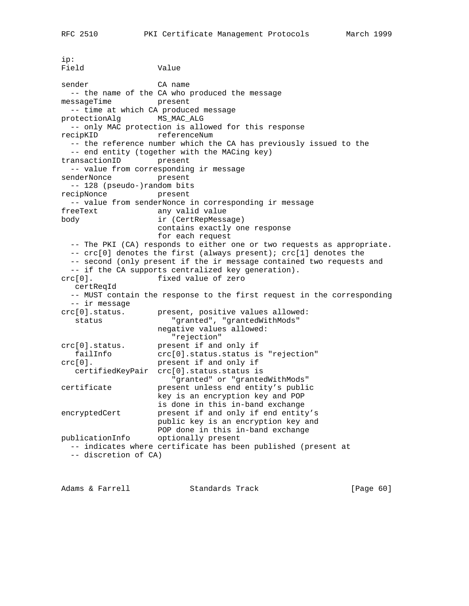```
ip:
Field Value
sender CA name
  -- the name of the CA who produced the message
messageTime present
  -- time at which CA produced message
protectionAlg MS_MAC_ALG
  -- only MAC protection is allowed for this response
recipKID referenceNum
  -- the reference number which the CA has previously issued to the
   -- end entity (together with the MACing key)
transactionID present
   -- value from corresponding ir message
senderNonce present
  -- 128 (pseudo-)random bits
recipNonce present
  -- value from senderNonce in corresponding ir message
freeText any valid value
body ir (CertRepMessage)
                    contains exactly one response
                    for each request
   -- The PKI (CA) responds to either one or two requests as appropriate.
  -- crc[0] denotes the first (always present); crc[1] denotes the
   -- second (only present if the ir message contained two requests and
   -- if the CA supports centralized key generation).
crc[0]. fixed value of zero
   certReqId
   -- MUST contain the response to the first request in the corresponding
   -- ir message
crc[0].status. present, positive values allowed:
  status "granted", "grantedWithMods"
                   negative values allowed:
"rejection"<br>crc[0].status. present if and
  c[0].status. present if and only if<br>failInfo crc[0].status.status is
                  crc[0].status.status is "rejection"
crc[0]. present if and only if
   certifiedKeyPair crc[0].status.status is
                      "granted" or "grantedWithMods"
certificate present unless end entity's public
                    key is an encryption key and POP
                    is done in this in-band exchange
encryptedCert present if and only if end entity's
                    public key is an encryption key and
                    POP done in this in-band exchange
publicationInfo optionally present
   -- indicates where certificate has been published (present at
   -- discretion of CA)
```
Adams & Farrell **Standards Track** [Page 60]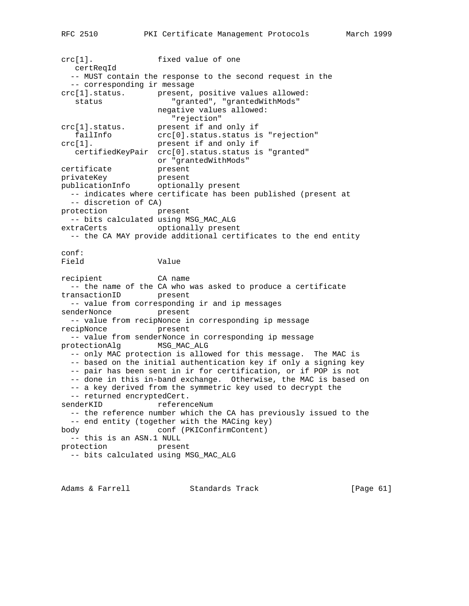crc[1]. fixed value of one certReqId -- MUST contain the response to the second request in the -- corresponding ir message crc[1].status. present, positive values allowed: status "granted", "grantedWithMods" negative values allowed: "rejection" crc[1].status. present if and only if<br>failinfo crc[0].status.status is crc[0].status.status is "rejection" crc[1]. present if and only if certifiedKeyPair crc[0].status.status is "granted" or "grantedWithMods"<br>present certificate<br>" privateKey present publicationInfo optionally present -- indicates where certificate has been published (present at -- discretion of CA) protection present -- bits calculated using MSG\_MAC\_ALG extraCerts optionally present -- the CA MAY provide additional certificates to the end entity conf: Field Value recipient CA name -- the name of the CA who was asked to produce a certificate transactionID present -- value from corresponding ir and ip messages senderNonce present -- value from recipNonce in corresponding ip message recipNonce present -- value from senderNonce in corresponding ip message protectionAlg MSG\_MAC\_ALG -- only MAC protection is allowed for this message. The MAC is -- based on the initial authentication key if only a signing key -- pair has been sent in ir for certification, or if POP is not -- done in this in-band exchange. Otherwise, the MAC is based on -- a key derived from the symmetric key used to decrypt the -- returned encryptedCert. senderKID referenceNum -- the reference number which the CA has previously issued to the -- end entity (together with the MACing key) body conf (PKIConfirmContent) -- this is an ASN.1 NULL protection present -- bits calculated using MSG\_MAC\_ALG

Adams & Farrell **Standards Track** [Page 61]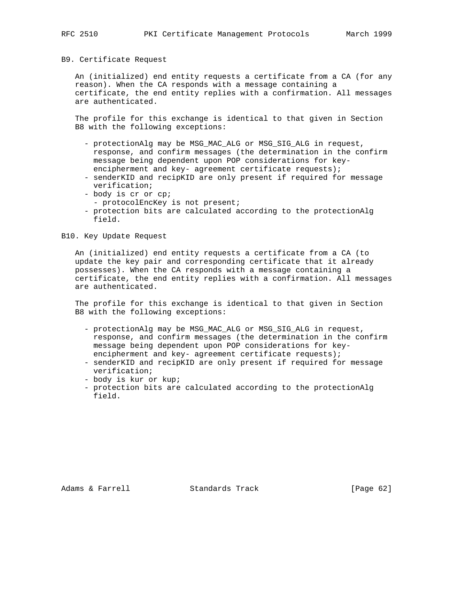#### B9. Certificate Request

 An (initialized) end entity requests a certificate from a CA (for any reason). When the CA responds with a message containing a certificate, the end entity replies with a confirmation. All messages are authenticated.

 The profile for this exchange is identical to that given in Section B8 with the following exceptions:

- protectionAlg may be MSG\_MAC\_ALG or MSG\_SIG\_ALG in request, response, and confirm messages (the determination in the confirm message being dependent upon POP considerations for key encipherment and key- agreement certificate requests);
- senderKID and recipKID are only present if required for message verification;
- body is cr or cp;
- protocolEncKey is not present;
- protection bits are calculated according to the protectionAlg field.

### B10. Key Update Request

 An (initialized) end entity requests a certificate from a CA (to update the key pair and corresponding certificate that it already possesses). When the CA responds with a message containing a certificate, the end entity replies with a confirmation. All messages are authenticated.

 The profile for this exchange is identical to that given in Section B8 with the following exceptions:

- protectionAlg may be MSG\_MAC\_ALG or MSG\_SIG\_ALG in request, response, and confirm messages (the determination in the confirm message being dependent upon POP considerations for key encipherment and key- agreement certificate requests);
- senderKID and recipKID are only present if required for message verification;
- body is kur or kup;
- protection bits are calculated according to the protectionAlg field.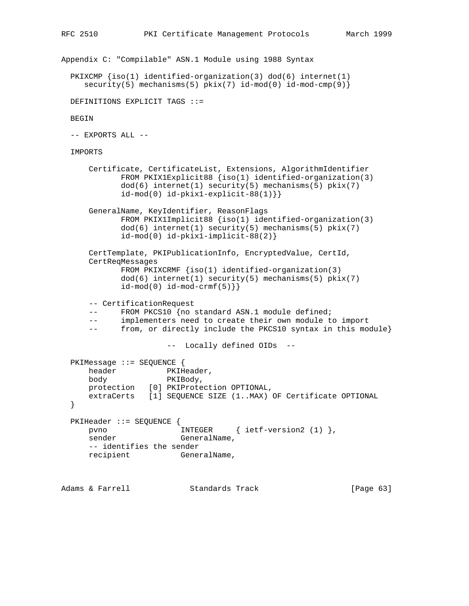```
Appendix C: "Compilable" ASN.1 Module using 1988 Syntax
  PKIXCMP {iso(1) identified-organization(3) dod(6) internet(1)
    security(5) mechanisms(5) pkix(7) id-mod(0) id-mod-cmp(9) }
  DEFINITIONS EXPLICIT TAGS ::=
  BEGIN
  -- EXPORTS ALL --
  IMPORTS
 Certificate, CertificateList, Extensions, AlgorithmIdentifier
 FROM PKIX1Explicit88 {iso(1) identified-organization(3)
             dod(6) internet(1) security(5) mechanisms(5) pkix(7)
            id-mod(0) id-pkix1-explicit-88(1)}
      GeneralName, KeyIdentifier, ReasonFlags
             FROM PKIX1Implicit88 {iso(1) identified-organization(3)
            dod(6) internet(1) security(5) mechanisms(5) pkix(7)
             id-mod(0) id-pkix1-implicit-88(2)}
      CertTemplate, PKIPublicationInfo, EncryptedValue, CertId,
      CertReqMessages
             FROM PKIXCRMF {iso(1) identified-organization(3)
            dod(6) internet(1) security(5) mechanisms(5) pkix(7)
            id-mod(0) id-mod-crmf(5)\} -- CertificationRequest
     -- FROM PKCS10 {no standard ASN.1 module defined;
      -- implementers need to create their own module to import
      -- from, or directly include the PKCS10 syntax in this module}
                      -- Locally defined OIDs --
  PKIMessage ::= SEQUENCE {
     header PKIHeader,
      body PKIBody,
      protection [0] PKIProtection OPTIONAL,
      extraCerts [1] SEQUENCE SIZE (1..MAX) OF Certificate OPTIONAL
  }
  PKIHeader ::= SEQUENCE {
     pvno INTEGER { ietf-version2 (1) },
     sender GeneralName,
      -- identifies the sender
      recipient GeneralName,
Adams & Farrell Standards Track [Page 63]
```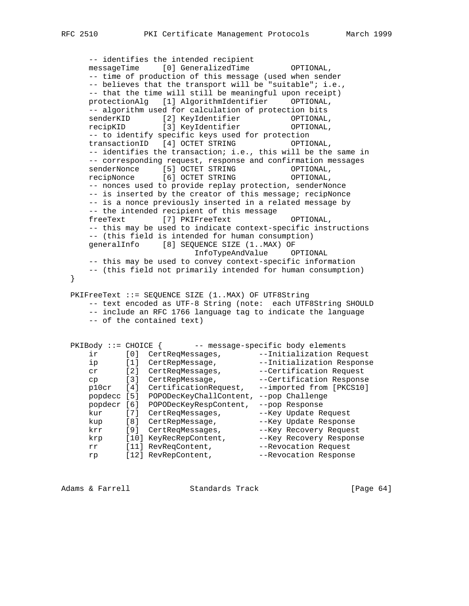-- identifies the intended recipient messageTime [0] GeneralizedTime OPTIONAL, -- time of production of this message (used when sender -- believes that the transport will be "suitable"; i.e., -- that the time will still be meaningful upon receipt) protectionAlg [1] AlgorithmIdentifier OPTIONAL, -- algorithm used for calculation of protection bits senderKID [2] KeyIdentifier OPTIONAL, recipKID [3] KeyIdentifier OPTIONAL, -- to identify specific keys used for protection transactionID [4] OCTET STRING OPTIONAL, -- identifies the transaction; i.e., this will be the same in -- corresponding request, response and confirmation messages senderNonce [5] OCTET STRING OPTIONAL, recipNonce [6] OCTET STRING OPTIONAL, -- nonces used to provide replay protection, senderNonce -- is inserted by the creator of this message; recipNonce -- is a nonce previously inserted in a related message by -- the intended recipient of this message freeText [7] PKIFreeText OPTIONAL, -- this may be used to indicate context-specific instructions -- (this field is intended for human consumption) generalInfo [8] SEQUENCE SIZE (1..MAX) OF InfoTypeAndValue OPTIONAL -- this may be used to convey context-specific information -- (this field not primarily intended for human consumption) PKIFreeText ::= SEQUENCE SIZE (1..MAX) OF UTF8String -- text encoded as UTF-8 String (note: each UTF8String SHOULD -- include an RFC 1766 language tag to indicate the language -- of the contained text) PKIBody ::= CHOICE { -- message-specific body elements ir [0] CertReqMessages, --Initialization Request ip [1] CertRepMessage, the --Initialization Response cr [2] CertReqMessages, ---Certification Request cp [3] CertRepMessage,  $-$ -Certification Response p10cr [4] CertificationRequest, --imported from [PKCS10] popdecc [5] POPODecKeyChallContent, --pop Challenge popdecr [6] POPODecKeyRespContent, --pop Response kur [7] CertReqMessages, --Key Update Request kup [8] CertRepMessage, --Key Update Response krr [9] CertReqMessages, --Key Recovery Request krp [10] KeyRecRepContent, The Hey Recovery Response rr [11] RevReqContent, --Revocation Request rp [12] RevRepContent, The Revocation Response

Adams & Farrell **Standards Track** [Page 64]

}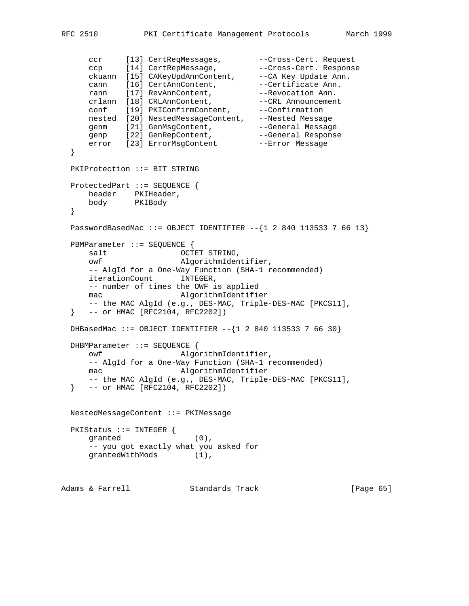```
ccr [13] CertReqMessages, Franches-Cert. Request
 ccp [14] CertRepMessage, --Cross-Cert. Response
 ckuann [15] CAKeyUpdAnnContent, --CA Key Update Ann.
cann [16] CertAnnContent, the example of the cannum cannum cannum cannum cannum cannum cannum cannum cannum cannum cannum cannum cannum cannum cannum cannum cannum cannum cannum cannum cannum cannum cannum cannum cannum ca
rann [17] RevAnnContent, The Revocation Ann.
 crlann [18] CRLAnnContent, --CRL Announcement
 conf [19] PKIConfirmContent, --Confirmation
 nested [20] NestedMessageContent, --Nested Message
genm [21] GenMsgContent, The Seneral Message
genp [22] GenRepContent, The Seneral Response
error [23] ErrorMsgContent --Error Message
   }
   PKIProtection ::= BIT STRING
   ProtectedPart ::= SEQUENCE {
    header PKIHeader,<br>body PKIBody
     body
   }
  PasswordBasedMac ::= OBJECT IDENTIFIER -\{1\ 2\ 840\ 113533\ 7\ 66\ 13\} PBMParameter ::= SEQUENCE {
     salt OCTET STRING,<br>
\begin{array}{ccc}\n\text{no} & \text{no} \\
\hline\n\end{array}AlgorithmIdentifier,
      -- AlgId for a One-Way Function (SHA-1 recommended)
       iterationCount INTEGER,
      -- number of times the OWF is applied
      mac AlgorithmIdentifier
      -- the MAC AlgId (e.g., DES-MAC, Triple-DES-MAC [PKCS11],
   } -- or HMAC [RFC2104, RFC2202])
  DHBasedMac ::= OBJECT IDENTIFIER --{1284011353376630} DHBMParameter ::= SEQUENCE {
      owf AlgorithmIdentifier,
      -- AlgId for a One-Way Function (SHA-1 recommended)
     mac AlgorithmIdentifier
      -- the MAC AlgId (e.g., DES-MAC, Triple-DES-MAC [PKCS11],
   } -- or HMAC [RFC2104, RFC2202])
  NestedMessageContent ::= PKIMessage
   PKIStatus ::= INTEGER {
     granted (0),
      -- you got exactly what you asked for
     grantedWithMods (1),
Adams & Farrell Standards Track [Page 65]
```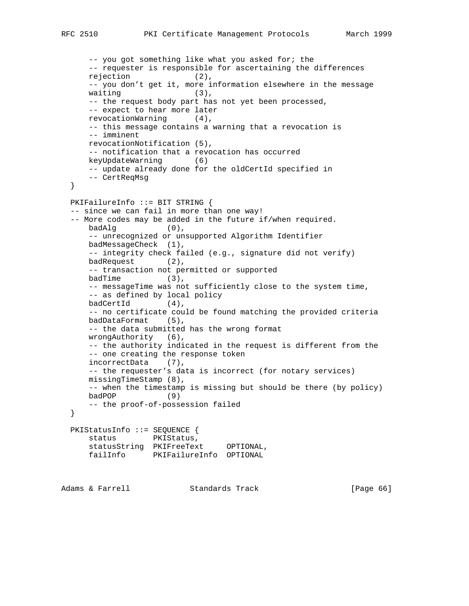```
 -- you got something like what you asked for; the
      -- requester is responsible for ascertaining the differences
      rejection (2),
      -- you don't get it, more information elsewhere in the message
     waiting (3),
      -- the request body part has not yet been processed,
      -- expect to hear more later
      revocationWarning (4),
      -- this message contains a warning that a revocation is
      -- imminent
      revocationNotification (5),
      -- notification that a revocation has occurred
      keyUpdateWarning (6)
      -- update already done for the oldCertId specified in
      -- CertReqMsg
  }
  PKIFailureInfo ::= BIT STRING {
  -- since we can fail in more than one way!
  -- More codes may be added in the future if/when required.
     badAlg (0),
      -- unrecognized or unsupported Algorithm Identifier
      badMessageCheck (1),
      -- integrity check failed (e.g., signature did not verify)
      badRequest (2),
      -- transaction not permitted or supported
     badTime (3),
      -- messageTime was not sufficiently close to the system time,
      -- as defined by local policy
      badCertId (4),
      -- no certificate could be found matching the provided criteria
      badDataFormat (5),
      -- the data submitted has the wrong format
      wrongAuthority (6),
      -- the authority indicated in the request is different from the
      -- one creating the response token
      incorrectData (7),
      -- the requester's data is incorrect (for notary services)
      missingTimeStamp (8),
      -- when the timestamp is missing but should be there (by policy)
      badPOP (9)
      -- the proof-of-possession failed
  }
  PKIStatusInfo ::= SEQUENCE {
     status PKIStatus,
      statusString PKIFreeText OPTIONAL,
      failInfo PKIFailureInfo OPTIONAL
Adams & Farrell Standards Track [Page 66]
```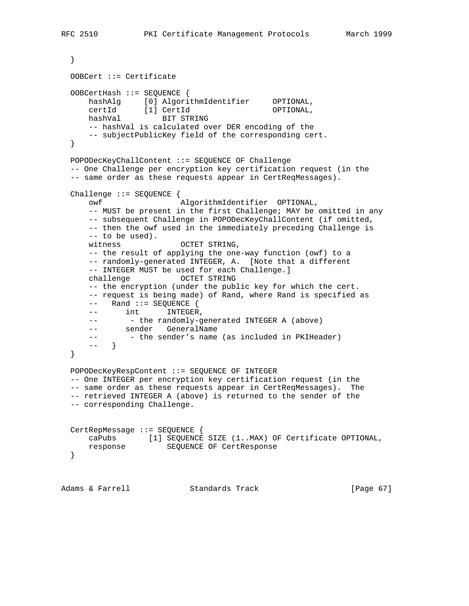```
 }
  OOBCert ::= Certificate
  OOBCertHash ::= SEQUENCE {
      hashAlg [0] AlgorithmIdentifier OPTIONAL,
 certId [1] CertId OPTIONAL,
 hashVal BIT STRING
      -- hashVal is calculated over DER encoding of the
      -- subjectPublicKey field of the corresponding cert.
  }
  POPODecKeyChallContent ::= SEQUENCE OF Challenge
   -- One Challenge per encryption key certification request (in the
  -- same order as these requests appear in CertReqMessages).
  Challenge ::= SEQUENCE {
      owf AlgorithmIdentifier OPTIONAL,
      -- MUST be present in the first Challenge; MAY be omitted in any
      -- subsequent Challenge in POPODecKeyChallContent (if omitted,
      -- then the owf used in the immediately preceding Challenge is
      -- to be used).
     witness OCTET STRING,
      -- the result of applying the one-way function (owf) to a
      -- randomly-generated INTEGER, A. [Note that a different
      -- INTEGER MUST be used for each Challenge.]
     challenge OCTET STRING
      -- the encryption (under the public key for which the cert.
      -- request is being made) of Rand, where Rand is specified as
      -- Rand ::= SEQUENCE {
     -- int INTEGER,
     -- - - the randomly-generated INTEGER A (above)
     -- sender GeneralName<br>-- sender GeneralName
     -- - - the sender's name (as included in PKIHeader)
      -- }
  }
  POPODecKeyRespContent ::= SEQUENCE OF INTEGER
  -- One INTEGER per encryption key certification request (in the
  -- same order as these requests appear in CertReqMessages). The
  -- retrieved INTEGER A (above) is returned to the sender of the
  -- corresponding Challenge.
  CertRepMessage ::= SEQUENCE {
 caPubs [1] SEQUENCE SIZE (1..MAX) OF Certificate OPTIONAL,
 response SEQUENCE OF CertResponse
  }
Adams & Farrell Standards Track [Page 67]
```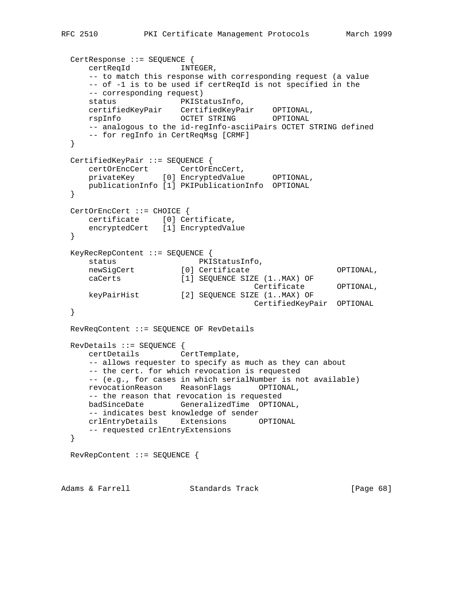```
 CertResponse ::= SEQUENCE {
     certReqId INTEGER,
     -- to match this response with corresponding request (a value
     -- of -1 is to be used if certReqId is not specified in the
     -- corresponding request)
status PKIStatusInfo,
 certifiedKeyPair CertifiedKeyPair OPTIONAL,
 rspInfo OCTET STRING OPTIONAL
    -- analogous to the id-regInfo-asciiPairs OCTET STRING defined
     -- for regInfo in CertReqMsg [CRMF]
  }
  CertifiedKeyPair ::= SEQUENCE {
 certOrEncCert CertOrEncCert,
 privateKey [0] EncryptedValue OPTIONAL,
     publicationInfo [1] PKIPublicationInfo OPTIONAL
  }
  CertOrEncCert ::= CHOICE {
    certificate [0] Certificate,
     encryptedCert [1] EncryptedValue
  }
  KeyRecRepContent ::= SEQUENCE {
status PKIStatusInfo,
newSigCert [0] Certificate OPTIONAL,
 caCerts [1] SEQUENCE SIZE (1..MAX) OF
 Certificate OPTIONAL,
 keyPairHist [2] SEQUENCE SIZE (1..MAX) OF
 CertifiedKeyPair OPTIONAL
  }
  RevReqContent ::= SEQUENCE OF RevDetails
  RevDetails ::= SEQUENCE {
     certDetails CertTemplate,
     -- allows requester to specify as much as they can about
     -- the cert. for which revocation is requested
     -- (e.g., for cases in which serialNumber is not available)
     revocationReason ReasonFlags OPTIONAL,
     -- the reason that revocation is requested
     badSinceDate GeneralizedTime OPTIONAL,
     -- indicates best knowledge of sender
     crlEntryDetails Extensions OPTIONAL
     -- requested crlEntryExtensions
  }
  RevRepContent ::= SEQUENCE {
```
Adams & Farrell **Standards Track** [Page 68]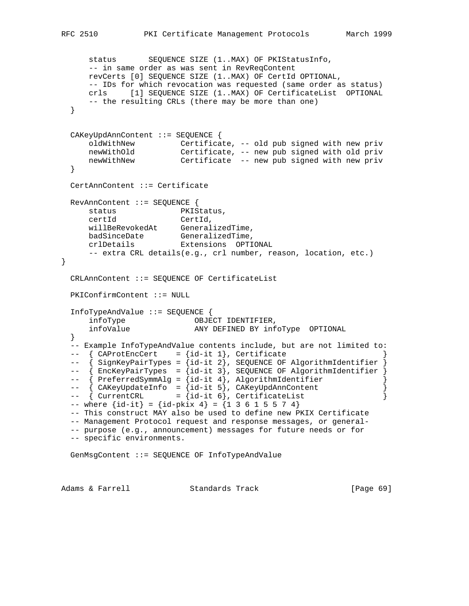```
 status SEQUENCE SIZE (1..MAX) OF PKIStatusInfo,
      -- in same order as was sent in RevReqContent
      revCerts [0] SEQUENCE SIZE (1..MAX) OF CertId OPTIONAL,
      -- IDs for which revocation was requested (same order as status)
      crls [1] SEQUENCE SIZE (1..MAX) OF CertificateList OPTIONAL
      -- the resulting CRLs (there may be more than one)
  }
  CAKeyUpdAnnContent ::= SEQUENCE {
 oldWithNew Certificate, -- old pub signed with new priv
 newWithOld Certificate, -- new pub signed with old priv
      newWithNew Certificate -- new pub signed with new priv
  }
  CertAnnContent ::= Certificate
  RevAnnContent ::= SEQUENCE {
    status PKIStatus,<br>certId CertId,
 certId CertId,
 willBeRevokedAt GeneralizedTime,
badSinceDate GeneralizedTime,
 crlDetails Extensions OPTIONAL
      -- extra CRL details(e.g., crl number, reason, location, etc.)
  CRLAnnContent ::= SEQUENCE OF CertificateList
  PKIConfirmContent ::= NULL
  InfoTypeAndValue ::= SEQUENCE {
     infoType OBJECT IDENTIFIER,<br>infoValue any pretain by inf
      infoValue ANY DEFINED BY infoType OPTIONAL
  }
  -- Example InfoTypeAndValue contents include, but are not limited to:
 -- \{ CAProtEncCert = {id-it 1}, Certificance-- { SignKeyPairTypes = {id-it 2}, SEQUENCE OF AlgorithmIdentifier }
-- { EncKeyPairTypes = {id-it 3}, SEQUENCE OF AlgorithmIdentifier }
-- { PreferredSymmAlg = {id-it 4}, AlgorithmIdentifier }
 -- { CAKeyUpdateInfo = {id-it 5}, CAKeyUpdAnnContent }<br>-- { CurrentCRL = {id-it 6}, CertificateList }
 -- { CurrentCRL = {id-it 6}, CertificateList
 -- where \{id-it\} = \{id-pkix 4\} = \{1 \ 3 \ 6 \ 1 \ 5 \ 5 \ 7 \ 4\} -- This construct MAY also be used to define new PKIX Certificate
  -- Management Protocol request and response messages, or general-
  -- purpose (e.g., announcement) messages for future needs or for
  -- specific environments.
  GenMsgContent ::= SEQUENCE OF InfoTypeAndValue
```
Adams & Farrell **Standards Track** [Page 69]

}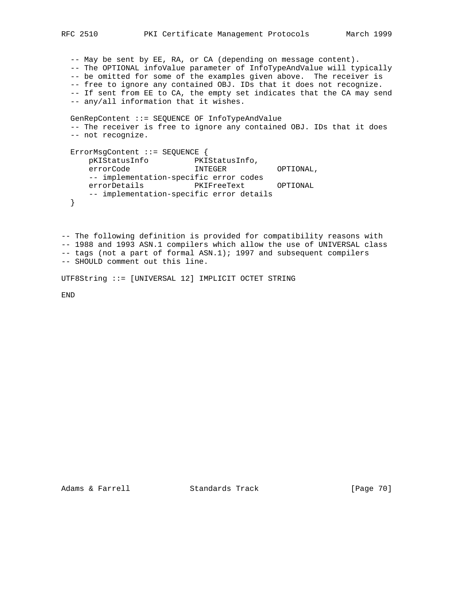-- May be sent by EE, RA, or CA (depending on message content). -- The OPTIONAL infoValue parameter of InfoTypeAndValue will typically -- be omitted for some of the examples given above. The receiver is -- free to ignore any contained OBJ. IDs that it does not recognize. -- If sent from EE to CA, the empty set indicates that the CA may send -- any/all information that it wishes.

```
 GenRepContent ::= SEQUENCE OF InfoTypeAndValue
  -- The receiver is free to ignore any contained OBJ. IDs that it does
  -- not recognize.
  ErrorMsgContent ::= SEQUENCE {
 pKIStatusInfo PKIStatusInfo,
errorCode INTEGER OPTIONAL,
     -- implementation-specific error codes
    errorDetails PKIFreeText OPTIONAL
     -- implementation-specific error details
  }
```
-- The following definition is provided for compatibility reasons with -- 1988 and 1993 ASN.1 compilers which allow the use of UNIVERSAL class -- tags (not a part of formal ASN.1); 1997 and subsequent compilers -- SHOULD comment out this line.

UTF8String ::= [UNIVERSAL 12] IMPLICIT OCTET STRING

END

Adams & Farrell Standards Track [Page 70]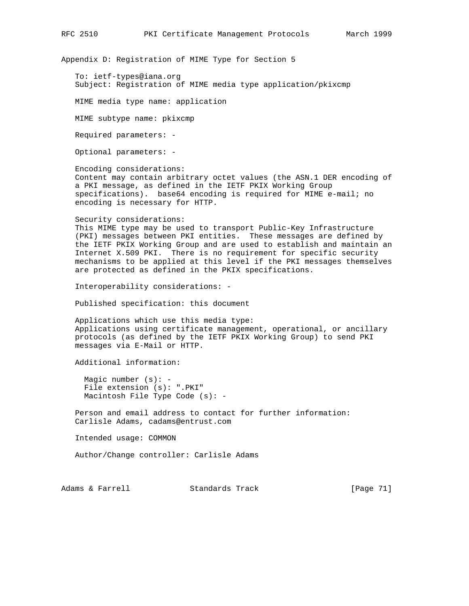Appendix D: Registration of MIME Type for Section 5

 To: ietf-types@iana.org Subject: Registration of MIME media type application/pkixcmp

MIME media type name: application

MIME subtype name: pkixcmp

Required parameters: -

Optional parameters: -

 Encoding considerations: Content may contain arbitrary octet values (the ASN.1 DER encoding of a PKI message, as defined in the IETF PKIX Working Group specifications). base64 encoding is required for MIME e-mail; no encoding is necessary for HTTP.

 Security considerations: This MIME type may be used to transport Public-Key Infrastructure (PKI) messages between PKI entities. These messages are defined by the IETF PKIX Working Group and are used to establish and maintain an Internet X.509 PKI. There is no requirement for specific security mechanisms to be applied at this level if the PKI messages themselves are protected as defined in the PKIX specifications.

Interoperability considerations: -

Published specification: this document

 Applications which use this media type: Applications using certificate management, operational, or ancillary protocols (as defined by the IETF PKIX Working Group) to send PKI messages via E-Mail or HTTP.

Additional information:

 Magic number (s): - File extension (s): ".PKI" Macintosh File Type Code (s): -

 Person and email address to contact for further information: Carlisle Adams, cadams@entrust.com

Intended usage: COMMON

Author/Change controller: Carlisle Adams

Adams & Farrell **Standards Track** [Page 71]